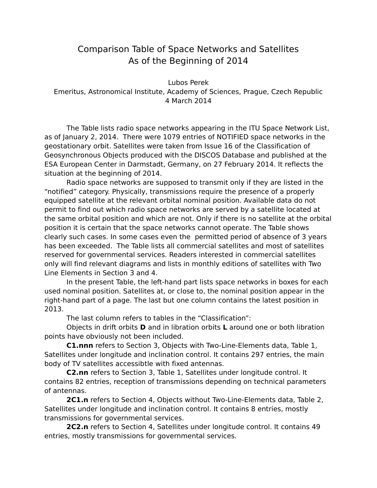## Comparison Table of Space Networks and Satellites As of the Beginning of 2014

Lubos Perek Emeritus, Astronomical Institute, Academy of Sciences, Prague, Czech Republic 4 March 2014

The Table lists radio space networks appearing in the ITU Space Network List, as of January 2, 2014. There were 1079 entries of NOTIFIED space networks in the geostationary orbit. Satellites were taken from Issue 16 of the Classification of Geosynchronous Objects produced with the DISCOS Database and published at the ESA European Center in Darmstadt, Germany, on 27 February 2014. It reflects the situation at the beginning of 2014.

Radio space networks are supposed to transmit only if they are listed in the "notified" category. Physically, transmissions require the presence of a properly equipped satellite at the relevant orbital nominal position. Available data do not permit to find out which radio space networks are served by a satellite located at the same orbital position and which are not. Only if there is no satellite at the orbital position it is certain that the space networks cannot operate. The Table shows clearly such cases. In some cases even the permitted period of absence of 3 years has been exceeded. The Table lists all commercial satellites and most of satellites reserved for governmental services. Readers interested in commercial satellites only will find relevant diagrams and lists in monthly editions of satellites with Two Line Elements in Section 3 and 4.

In the present Table, the left-hand part lists space networks in boxes for each used nominal position. Satellites at, or close to, the nominal position appear in the right-hand part of a page. The last but one column contains the latest position in 2013.

The last column refers to tables in the "Classification":

Objects in drift orbits **D** and in libration orbits **L** around one or both libration points have obviously not been included.

**C1.nnn** refers to Section 3, Objects with Two-Line-Elements data, Table 1, Satellites under longitude and inclination control. It contains 297 entries, the main body of TV satellites accessibtle with fixed antennas.

**C2.nn** refers to Section 3, Table 1, Satellites under longitude control. It contains 82 entries, reception of transmissions depending on technical parameters of antennas.

**2C1.n** refers to Section 4, Objects without Two-Line-Elements data, Table 2, Satellites under longitude and inclination control. It contains 8 entries, mostly transmissions for governmental services.

**2C2.n** refers to Section 4, Satellites under longitude control. It contains 49 entries, mostly transmissions for governmental services.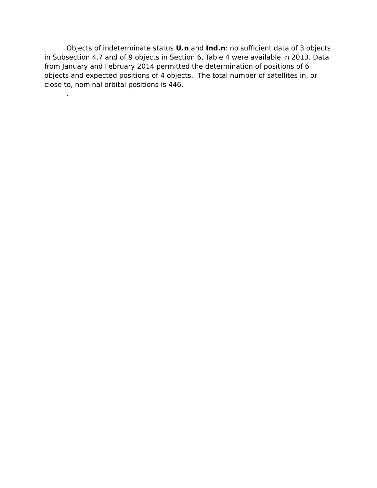Objects of indeterminate status **U.n** and **Ind.n**: no sufficient data of 3 objects in Subsection 4.7 and of 9 objects in Section 6, Table 4 were available in 2013. Data from January and February 2014 permitted the determination of positions of 6 objects and expected positions of 4 objects. The total number of satellites in, or close to, nominal orbital positions is 446.

.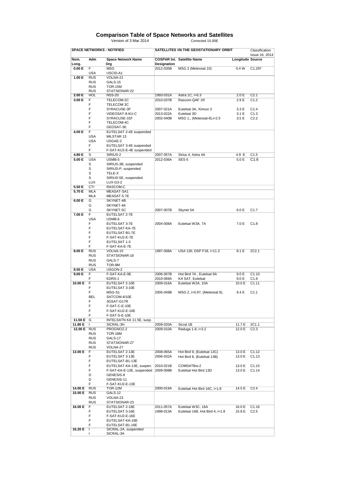## **Comparison Table of Space Networks and Satellites**

Version of 3 Mar 2014 Corrected 15.00E

|               |            | <b>SPACE NETWORKS - NOTIFIED</b> |                    | SATELLITES IIN THE GEOSTATIONARY ORBIT |                         | Classification<br>Issue 16, 2014 |
|---------------|------------|----------------------------------|--------------------|----------------------------------------|-------------------------|----------------------------------|
| Nom.<br>Long. | Adm        | <b>Space Network Name</b><br>Org | <b>Designation</b> | <b>COSPAR Int. Satellite Name</b>      | <b>Longitude Source</b> |                                  |
| 0.00 E        | F.         | <b>MSG</b>                       | 2012-035B          | MSG 3 (Meteosat 10)                    | 0.4W                    | C1.297                           |
|               | USA        | USCID-A1                         |                    |                                        |                         |                                  |
| 1.00 E        | <b>RUS</b> | VOLNA-21                         |                    |                                        |                         |                                  |
|               | <b>RUS</b> | GALS-15                          |                    |                                        |                         |                                  |
|               | <b>RUS</b> | <b>TOR-15M</b>                   |                    |                                        |                         |                                  |
|               | <b>RUS</b> | STATSIONAR-22                    |                    |                                        |                         |                                  |
| 2.00 E        | <b>HOL</b> | <b>NSS-20</b>                    | 1993-031A          | Astra 1C, i=6.3                        | 2.0 E                   | C2.1                             |
| 3.00 E        | F          | TELECOM-2C                       | 2010-037B          | Rascom-QAF 1R                          | 2.9 E                   | C1.2                             |
|               | F          | TELECOM 3C                       |                    |                                        |                         |                                  |
|               | F          | SYRACUSE-3F                      | 2007-021A          | Eutelsat 3A, Xinnuo 3                  | 3.3 E                   | C1.4                             |
|               | F          | VIDEOSAT-8-KU-C                  | 2013-022A          | Eutelsat 3D                            | 3.1 E                   | C1.3                             |
|               | F          | SYRACUSE-31F                     | 2002-040B          | MSG 1,, (Meteosat-8), i=2.5            | 3.5 E                   | C2.2                             |
|               | F          | TELECOM-4C                       |                    |                                        |                         |                                  |
|               | F          | GEOSAT-3E                        |                    |                                        |                         |                                  |
| 4.00 E        | F          | EUTELSAT 2-4E suspended          |                    |                                        |                         |                                  |
|               | <b>USA</b> | MILSTAR 13                       |                    |                                        |                         |                                  |
|               | <b>USA</b> | USGAE-2                          |                    |                                        |                         |                                  |
|               | F          | EUTELSAT 3-4E suspended          |                    |                                        |                         |                                  |
|               | F.         | F-SAT-KU2-E-4E suspended         |                    |                                        |                         |                                  |
| 4.80 E        | s          | SIRIUS-2                         | 2007-057A          | Sirius 4, Astra 4A                     | 4.9 E                   | C1.5                             |
| 5.00 E        | <b>USA</b> | USMB-5                           | 2012-036A          | SES-5                                  | 5.0 E                   | C1.6                             |
|               | S          | SIRIUS-3B, suspended             |                    |                                        |                         |                                  |
|               | S          | SIRIUS-P, suspended.             |                    |                                        |                         |                                  |
|               | S          | TELE-X                           |                    |                                        |                         |                                  |
|               | S          | SIRIUS-5E, suspended.            |                    |                                        |                         |                                  |
|               | <b>LUX</b> | LUX-G3-2                         |                    |                                        |                         |                                  |
| 5.50 E        | CTI        | RASCOM-C                         |                    |                                        |                         |                                  |
| 5.70 E        | <b>MLA</b> | MEASAT-SA1                       |                    |                                        |                         |                                  |
|               | <b>MLA</b> | MEASAT-5.7E                      |                    |                                        |                         |                                  |
| 6.00 E        | G          | SKYNET-4B                        |                    |                                        |                         |                                  |
|               | G          | SKYNET-4K                        |                    |                                        |                         |                                  |
|               | G          | SKYNET-5C                        | 2007-007B          | Skynet 5A                              | 6.0 E                   | C1.7                             |
| 7.00 E        | F          | EUTELSAT 2-7E                    |                    |                                        |                         |                                  |
|               | <b>USA</b> | USMB-6                           |                    |                                        |                         |                                  |
|               | F          | EUTELSAT 3-7E                    | 2004-008A          | Eutelsat W3A. 7A                       | 7.0 E                   | C1.8                             |
|               | F          | EUTELSAT-KA-7E                   |                    |                                        |                         |                                  |
|               | F          | EUTELSAT-B1-7E                   |                    |                                        |                         |                                  |
|               | F          | F-SAT-KU2-E-7E                   |                    |                                        |                         |                                  |
|               | F          | EUTELSAT 1-3                     |                    |                                        |                         |                                  |
|               | F          | F-SAT-KA-E-7E                    |                    |                                        |                         |                                  |
| 8.00 E        | <b>RUS</b> | VOLNA-15                         | 1997-008A          | USA 130, DSP F18, i=11.3               | 8.1 E                   | 2C2.1                            |
|               | <b>RUS</b> | STATSIONAR-18                    |                    |                                        |                         |                                  |
|               | <b>RUS</b> | GALS-7                           |                    |                                        |                         |                                  |
|               | <b>RUS</b> | TOR-8M                           |                    |                                        |                         |                                  |
| 8.50 E        | <b>USA</b> | USGON-2                          |                    |                                        |                         |                                  |
| 9.00 E        | F.         | F-SAT-KA-E-9E                    | 2006-007B          | Hot Bird 7A, Eutelsat 9A               | 9.0 E                   | C1.10                            |
|               | F          | EDRS-1                           | 2010-069A          | KA SAT. Eutelsat                       | 9.0 E                   | C1.9                             |
| 10.00 E       | F          | EUTELSAT 2-10E                   | 2009-016A          | Eutelsat W2A, 10A                      | 10.0 E                  | C1.11                            |
|               | F          | EUTELSAT 3-10E                   |                    |                                        |                         |                                  |
|               | F          | MSG-S1                           | 2005-049B          | MSG 2, i=0.97, (Meteosat 9),           | 9.4 E                   | C1.1                             |
|               | BEL        | SATCOM-4/10E                     |                    |                                        |                         |                                  |
|               | F          | 3GSAT-G17R                       |                    |                                        |                         |                                  |
|               | F          | F-SAT-C-E-10E                    |                    |                                        |                         |                                  |
|               | F          | F-SAT-KU2-E-10E                  |                    |                                        |                         |                                  |
|               | F          | F-SAT-S-E-10E                    |                    |                                        |                         |                                  |
| 11.50 E       | G          | INTELSATN KA 11.5E, susp.        |                    |                                        |                         |                                  |
| 11.80 E       | Τ.         | SICRAL-3H                        | 2009-020A          | Sicral 1B                              | 11.7 E                  | 2C1.1                            |
| 12.00 E RUS   |            | PROGNOZ-2                        | 2009-010A          | Raduga 1-8, i=3.2                      | 12.0 E                  | C2.3                             |
|               | <b>RUS</b> | TOR-18M                          |                    |                                        |                         |                                  |
|               | <b>RUS</b> | GALS-17                          |                    |                                        |                         |                                  |
|               | <b>RUS</b> | STATSIONAR-27                    |                    |                                        |                         |                                  |
|               | RUS        | VOLNA-27                         |                    |                                        |                         |                                  |
| 13.00 E       | F.         | EUTELSAT 2-13E                   | 2008-065A          | Hot Bird 9, (Eutelsat 13C)             | 13.0 E                  | C1.12                            |
|               | F.         | EUTELSAT 3-13E                   | 2006-032A          | Hot Bird 8, )Eutelsat 13B)             | 13.0 E                  | C1.13                            |
|               | F          | EUTELSAT-B1-13E                  |                    |                                        |                         |                                  |
|               | F          | EUTELSAT-KA-13E, suspen.         | 2010-021B          | COMSATBw-2                             | 13.0 E                  | C <sub>1</sub> .15               |
|               | F          | F-SAT-KA-E-13E, suspended        | 2009-008B          | Eutelsat Hot Bird 13D                  | 13.0 E                  | C1.14                            |
|               | D          | GENESIS-8                        |                    |                                        |                         |                                  |
|               | D          | GENESIS-11                       |                    |                                        |                         |                                  |
|               | F          | F-SAT-KU2-E-13E                  |                    |                                        |                         |                                  |
| 14.00 E       | <b>RUS</b> | TOR-12M                          | 2000-019A          | Eutelsat Hot Bird 16C, i=1.8           | 14.5 E                  | C <sub>2.4</sub>                 |
| 15.00 E       | <b>RUS</b> | GALS-12                          |                    |                                        |                         |                                  |
|               | <b>RUS</b> | VOLNA-23                         |                    |                                        |                         |                                  |
|               | <b>RUS</b> | STATSIONAR-23                    |                    |                                        |                         |                                  |
| 16.00 E       | F          | EUTELSAT 2-16E                   | 2011-057A          | Eutelsat W3C, 16A                      | 16.0 E                  | C1.16                            |
|               | F          | EUTELSAT 3-16E                   | 1998-013A          | Eutelsat 16B, Hot Bird 4, i=1.8        | 15.8 E                  | C2.5                             |
|               | F          | F-SAT-KU2-E-16E                  |                    |                                        |                         |                                  |
|               | F          | EUTELSAT-KA-16E                  |                    |                                        |                         |                                  |
|               | F          | EUTELSAT-B1-16E                  |                    |                                        |                         |                                  |
| 16.20 E       | Τ          | SICRAL-2A. suspended             |                    |                                        |                         |                                  |
|               |            | SICRAL-3A                        |                    |                                        |                         |                                  |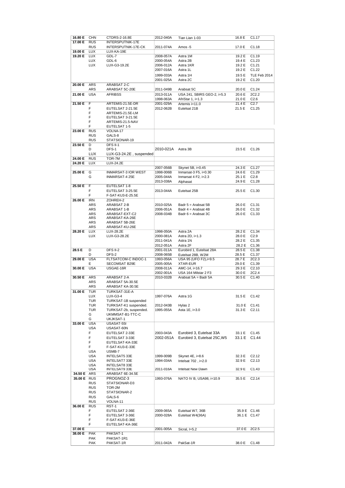| 16.80 E     | <b>CHN</b> | CTDRS-2-16.8E                              | 2012-040A | Tian Lian 1-03               | 16.8 E       | C1.17             |
|-------------|------------|--------------------------------------------|-----------|------------------------------|--------------|-------------------|
| 17.00 E     | <b>RUS</b> | INTERSPUTNIK-17E                           |           |                              |              |                   |
|             | <b>RUS</b> | INTERSPUTNIK-17E-CK                        | 2011-074A | Amos -5                      | 17.0 E       | C1.18             |
|             |            |                                            |           |                              |              |                   |
| 19.00 E     | <b>LUX</b> | LUX-KA-19E                                 |           |                              |              |                   |
| 19.20 E     | <b>LUX</b> | GDL-7                                      | 2008-057A | Astra 1M                     | 19.2 E       | C1.19             |
|             | <b>LUX</b> | GDL-6                                      | 2000-054A | Astra 2B                     | 19.4 E       | C1.23             |
|             | <b>LUX</b> | LUX-G3-19.2E                               | 2006-012A | Astra 1KR                    | 19.2 E       | C1.21             |
|             |            |                                            | 2007-016A | Astra 1L                     | 19.2 E       | C <sub>1.22</sub> |
|             |            |                                            | 1999-033A | Astra 1H                     | 19.5 E       | TLE Feb 2014      |
|             |            |                                            | 2001-025A | Astra 2C                     | 19.2 E       | C <sub>1.20</sub> |
| 20.00 E     | <b>ARS</b> | ARABSAT 2-C                                |           |                              |              |                   |
|             | <b>ARS</b> | ARABSAT 5C-20E                             | 2011-049B | Arabsat 5C                   | 20.0 E       | C1.24             |
|             |            |                                            |           |                              |              |                   |
| 21.00 E     | <b>USA</b> | <b>AFRIBSS</b>                             | 2013-011A | USA 241, SBIRS GEO-2, i=5.3  | 20.6 E       | 2C2.2             |
|             |            |                                            | 1998-063A | AfriStar 1, i=1.3            | 21.0 E       | C2.6              |
| 21.50 E     | F          | ARTEMIS-21.5E-DR                           | 2001-029A | Artemis i=11.0               | 21.4 E       | C2.7              |
|             | F          | EUTELSAT 2-21.5E                           | 2012-062B | Eutelsat 21B                 | 21.5 E       | C1.25             |
|             | F          | ARTEMIS-21.5E-LM                           |           |                              |              |                   |
|             | F          | EUTELSAT 3-21.5E                           |           |                              |              |                   |
|             | F          | ARTEMIS-21.5-NAV                           |           |                              |              |                   |
|             | F          | EUTELSAT 1-5                               |           |                              |              |                   |
| 23.00 E     | <b>RUS</b> | VOLNA-17                                   |           |                              |              |                   |
|             | <b>RUS</b> | GALS-8                                     |           |                              |              |                   |
|             | <b>RUS</b> | STATSIONAR-19                              |           |                              |              |                   |
| 23.50 E     | D          | <b>DFS II-1</b>                            |           |                              |              |                   |
|             | D          | DFS-1                                      | 2010-021A | Astra 3B                     | 23.5 E       | C <sub>1.26</sub> |
|             | <b>LUX</b> | LUX-G3-24.2E, suspended                    |           |                              |              |                   |
|             | <b>RUS</b> |                                            |           |                              |              |                   |
| 24.00 E     |            | TOR-7M                                     |           |                              |              |                   |
| 24.20 E     | <b>LUX</b> | LUX-24.2E                                  |           |                              |              |                   |
|             |            |                                            | 2007-056B | Skynet 5B, i=0.45            | 24.3 E       | C1.27             |
| 25.00 E     | G          | INMARSAT-3 IOR WEST                        | 1998-006B | Inmarsat-3 F5, i=0.30        | 24.6 E       | C1.29             |
|             | G          | INMARSAT-4 25E                             | 2005-044A | Inmarsat $4$ F2, i=2.3       | 25.1 E       | C2.8              |
|             |            |                                            | 2013-038A | Alphasat                     | 24.9 E       | C1.28             |
| 25.50 E     | F          | EUTELSAT 1-8                               |           |                              |              |                   |
|             | F          | EUTELSAT 3-25.5E                           | 2013-044A | Eutelsat 25B                 | 25.5 E       | C <sub>1.30</sub> |
|             | F          | F-SAT-KU3-E-25.5E                          |           |                              |              |                   |
| 26.00 E     | <b>IRN</b> | ZOHREH-2                                   |           |                              |              |                   |
|             | <b>ARS</b> | ARABSAT 2-B                                | 2010-025A | Badr $5 =$ Arabsat $5B$      | 26.0 E       | C1.31             |
|             | ARS        | ARABSAT 1-B                                | 2006-051A | Badr $4$ = Arabsat 4B        | 26.0 E       | C1.32             |
|             | ARS        | ARABSAT-EXT-C2                             | 2008-034B | Badr $6$ = Arabsat 3C        | 26.0 E       | C <sub>1.33</sub> |
|             | ARS        | ARABSAT-KA-26E                             |           |                              |              |                   |
|             | ARS        | ARABSAT 5B-26E                             |           |                              |              |                   |
|             | <b>ARS</b> | ARABSAT-KU-26E                             |           |                              |              |                   |
| 28.20 E     | <b>LUX</b> | LUX-28.2E                                  | 1998-050A | Astra 2A                     | 28.2 E       | C <sub>1.34</sub> |
|             |            |                                            |           |                              |              |                   |
|             | <b>LUX</b> | LUX-G3-28.2E                               | 2000-081A | Astra 2D, i=1.3              | 28.0 E       | C2.9              |
|             |            |                                            | 2011-041A | Astra 1N                     | 28.2 E       | C <sub>1.35</sub> |
|             |            |                                            | 2012-051A | Astra 2F                     | 28.2 E       | C <sub>1.36</sub> |
| 28.5 E      | D          | DFS II-2                                   | 2001-011A | Eurobird 1, Eutelsat 28A     | 28.5 E       | C1.38             |
|             | D          | DFS-2                                      | 2008-065B | Eutelsat 28B, W2M            | 28.5 E       | C1.37             |
| 29.00 E     | <b>USA</b> | FLTSATCOM-C INDOC-1                        | 1993-056A | USA 95 (UFO F2), i=9.5       | 28.7 E       | 2C2.3             |
|             | Е          | SECOMSAT B29E                              | 2005-005A | <b>XTAR-EUR</b>              | 29.0 E       | C1.39             |
| 30.00 E     | <b>USA</b> | USGAE-16R                                  | 2008-011A | AMC-14, i=16.7               | 29.3 E       | C2.10             |
|             |            |                                            | 2002-001A | USA 164 Milstar 2 F3         | 30.0 E       | 2C2.4             |
| 30.50 E     | <b>ARS</b> | ARABSAT 2-A                                | 2010-032B | Arabsat 5A = Badr 5A         | 30.5 E       | C1.40             |
|             | <b>ARS</b> | ARABSAT 5A-30.5E                           |           |                              |              |                   |
|             | ARS        | ARABSAT KA-30.5E                           |           |                              |              |                   |
| 31.00 E     | <b>TUR</b> | TURKSAT-31E-A                              |           |                              |              |                   |
|             | LUX        | LUX-G3-4                                   | 1997-076A | Astra 1G                     | 31.5 E       | C <sub>1.42</sub> |
|             | TUR        | TURKSAT-1B suspended                       |           |                              |              |                   |
|             | TUR        | TURKSAT-K1 suspended.                      | 2012-043B | Hylas 2                      | 31.0 E       | C1.41             |
|             | TUR        |                                            | 1995-055A | Asta 1E, i=3.0               | 31.3 E       | C2.11             |
|             | G          | TURKSAT-2b, suspended.<br>UKMMSAT-B1-TTC-C |           |                              |              |                   |
|             |            |                                            |           |                              |              |                   |
|             | G          | UKJKSAT-1                                  |           |                              |              |                   |
| 33.00 E     | <b>USA</b> | USASAT-55I                                 |           |                              |              |                   |
|             | USA        | USASAT-60N                                 |           |                              |              |                   |
|             | F          | EUTELSAT 2-33E                             | 2003-043A | Eurobird 3, Eutelsat 33A     | 33.1 E       | C1.45             |
|             | F          | EUTELSAT 3-33E                             | 2002-051A | Eurobird 3, Eutelsat 25C, W5 | 33.1 E       | C <sub>1.44</sub> |
|             | F          | EUTELSAT-KA-33E                            |           |                              |              |                   |
|             | F.         | F-SAT-KU3-E-33E                            |           |                              |              |                   |
|             | USA        | USMB-7                                     |           |                              |              |                   |
|             | <b>USA</b> | INTELSAT5 33E                              | 1999-009B | Skynet 4E, i=8.6             | 32.3 E       | C2.12             |
|             | <b>USA</b> | INTELSAT7 33E                              | 1994-034A | Intelsat 702, i=2.0          | 32.9 E       | C2.13             |
|             | USA        | <b>INTELSAT8 33E</b>                       |           |                              |              |                   |
|             | <b>USA</b> | <b>INTELSAT9 33E</b>                       | 2011-016A | Intelsat New Dawn            | 32.9 E       | C <sub>1.43</sub> |
| 34.50 E ARS |            | ARABSAT 6E-34.5E                           |           |                              |              |                   |
| 35.00 E RUS |            | PROGNOZ-3                                  | 1993-076A | NATO IV B, USA98, i=10.9     | 35.5 E       | C2.14             |
|             | RUS        | STATSIONAR-D3                              |           |                              |              |                   |
|             | <b>RUS</b> | TOR-2M                                     |           |                              |              |                   |
|             | RUS        | STATSIONAR-2                               |           |                              |              |                   |
|             | <b>RUS</b> | GALS-6                                     |           |                              |              |                   |
|             | <b>RUS</b> | VOLNA-11                                   |           |                              |              |                   |
| 36.00 E     | <b>RUS</b> | RST-1                                      |           |                              |              |                   |
|             | F          | EUTELSAT 2-36E                             | 2009-065A | Eutelsat W7, 36B             | 35.9 E C1.46 |                   |
|             | F          | EUTELSAT 3-36E                             | 2000-028A | Eutelsat W4(36A)             | 36.1 E C1.47 |                   |
|             | F          | F-SAT-KU3-E-36E                            |           |                              |              |                   |
|             | F          | EUTELSAT-KA-36E                            |           |                              |              |                   |
|             |            |                                            |           |                              |              |                   |
| 37.00 E     |            |                                            | 2001-005A | Sicral, I=5.2                | 37.0 E       | 2C2.5             |
| 38.00 E     | <b>PAK</b> | PAKSAT-1                                   |           |                              |              |                   |
|             | PAK        | PAKSAT-1R1                                 |           |                              |              |                   |
|             | <b>PAK</b> | PAKSAT-1R                                  | 2011-042A | PakSat-1R                    | 38.0 E       | C <sub>1.48</sub> |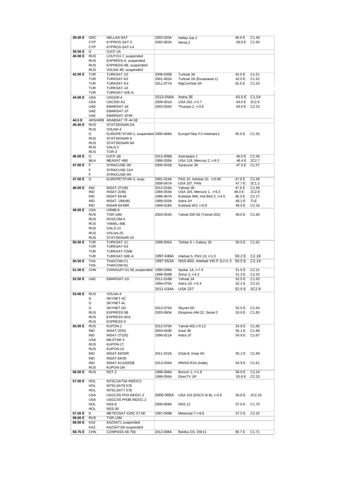| 39.00 E | GRC               | <b>HELLAS-SAT</b>                      | 2003-020A | Hellas Sat 2                     | 39.0 E | C1.49             |
|---------|-------------------|----------------------------------------|-----------|----------------------------------|--------|-------------------|
|         |                   |                                        |           |                                  |        |                   |
|         | <b>CYP</b>        | KYPROS-SAT-C                           | 2002-062A | Nimig 2                          | 39.0 E | C <sub>1.50</sub> |
|         | <b>CYP</b>        | KYPROS-SAT-L4                          |           |                                  |        |                   |
| 39.50 E | G                 | DJCF-1A                                |           |                                  |        |                   |
| 40.00 E | <b>RUS</b>        | LOUTCH-7, suspended                    |           |                                  |        |                   |
|         | <b>RUS</b>        | EXPRESS-4, suspended                   |           |                                  |        |                   |
|         | <b>RUS</b>        | EXPRESS-4B, suspended                  |           |                                  |        |                   |
|         |                   |                                        |           |                                  |        |                   |
|         | <b>RUS</b>        | VOLNA 4R, suspended                    |           |                                  |        |                   |
| 42.00 E | TUR               | <b>TURKSAT 1D</b>                      | 2008-030B | Turksat 3A                       | 42.0 E | C1.51             |
|         | <b>TUR</b>        | TURKSAT-K2                             | 2001-002A | Turksat 2A (Eurasiasat 1)        | 42.0 E | C1.52             |
|         | TUR               | <b>TURKSAT-KX</b>                      | 2011-077A | NigComSat-1R                     | 42.5 E | C1.53             |
|         | TUR               | TURKSAT-1A                             |           |                                  |        |                   |
|         |                   |                                        |           |                                  |        |                   |
|         | TUR               | TURKSAT-42E-A                          |           |                                  |        |                   |
| 44.00 E | <b>USA</b>        | USGGR-4                                | 2013-056A | Astra 2E                         | 43.5 E | C <sub>1.54</sub> |
|         | <b>USA</b>        | USCSID-A2                              | 2009-001A | USA 202, i=3.7                   | 44.0 E | 2C2.6             |
|         | <b>UAE</b>        | EMARSAT-1E                             | 2003-026A | Thuraya 2, i=3.8                 | 44.0 E | C2.15             |
|         | <b>UAE</b>        | EMARSAT-1F                             |           |                                  |        |                   |
|         |                   |                                        |           |                                  |        |                   |
|         | <b>UAE</b>        | EMARSAT-1F/M                           |           |                                  |        |                   |
| 44.5 E  |                   | ARS/ARB ARABSAT 7F-44.5E               |           |                                  |        |                   |
| 45.00 E | <b>RUS</b>        | STATSIONAR-D4                          |           |                                  |        |                   |
|         | <b>RUS</b>        | VOLNA-3                                |           |                                  |        |                   |
|         |                   |                                        |           |                                  |        |                   |
|         | D                 | EUROPE*STAR-1, suspended 2000-068A     |           | Europe*Star F1=Intelsat12        | 45.0 E | C <sub>1.55</sub> |
|         | <b>RUS</b>        | STATSIONAR-9                           |           |                                  |        |                   |
|         | <b>RUS</b>        | STATSIONAR-9A                          |           |                                  |        |                   |
|         | <b>RUS</b>        | GALS-2                                 |           |                                  |        |                   |
|         | <b>RUS</b>        | TOR-3                                  |           |                                  |        |                   |
| 46.00 E | G                 | DJCF-1B                                | 2013-006B | Azerspace 1                      | 46.0 E | C <sub>1.56</sub> |
|         |                   |                                        |           |                                  |        |                   |
|         | <b>MLA</b>        | MEASAT-46E                             | 1996-026A | USA 118, Mercury 2, i=9.3        | 46.4 E | 2C2.7             |
| 47.00 E | F                 | SYRACUSE-3H                            | 2005-041B | Syracuse 3A                      | 47.0 E | C1.57             |
|         | F                 | SYRACUSE-31H                           |           |                                  |        |                   |
|         | F                 | SYRACUSE-4H                            |           |                                  |        |                   |
| 47.50 E | D                 | EUROPE*STAR-3, susp.                   | 2001-019A | PAS 10, Intelsat 10, i=0.09      | 47.6 E | C1.58             |
|         |                   |                                        |           |                                  |        |                   |
|         |                   |                                        | 2009-047A | USA 207, PAN                     | 47.7 E | 2C1.2             |
| 48.00 E | <b>IND</b>        | $INSAT-2T(48)$                         | 2012-016A | Yahsat 1B                        | 47.6 E | C1.59             |
|         | IND               | $INSAT-2(48)$                          | 1994-054A | USA 105, Mercury 1, i=9.3        | 48.0 E | 2C2.8             |
|         | IND               | <b>INSAT-EK48</b>                      | 1996-067A | Eutelsat 48A, Hot Bird 2, i=4.0  | 48.3 E | C2.17             |
|         | IND               | <b>INSAT -2M(48)</b>                   | 1999-033A | Astra 1H                         | 48.1 E | TLE               |
|         | IND               | <b>INSAR-EK48R</b>                     | 1999-018A | Eutelsat W3, i=0.9               | 48.0 E | C2.16             |
|         |                   |                                        |           |                                  |        |                   |
| 49.00 E | <b>USA</b>        | USMB-8                                 |           |                                  |        |                   |
|         | <b>RUS</b>        | TOR-16M                                | 2003-053A | Yamal 200 N2 (Yamal 202)         | 49.0 E | C1.60             |
|         | <b>RUS</b>        | ROSCOM-4                               |           |                                  |        |                   |
|         | <b>RUS</b>        | YAMAL-49E                              |           |                                  |        |                   |
|         | <b>RUS</b>        | GALS-13                                |           |                                  |        |                   |
|         |                   |                                        |           |                                  |        |                   |
|         |                   |                                        |           |                                  |        |                   |
|         | <b>RUS</b>        | VOLNA-25                               |           |                                  |        |                   |
|         | <b>RUS</b>        | STATSIONAR-24                          |           |                                  |        |                   |
| 50.00 E | <b>TUR</b>        | TURKSAT-1C                             | 1999-005A | Telstar $6 =$ Galaxy 26          | 50.0 E | C1.62             |
|         | TUR               | TURKSAT-K3                             |           |                                  |        |                   |
|         |                   |                                        |           |                                  |        |                   |
|         | TUR               | TURKSAT-C50E                           |           |                                  |        |                   |
|         | <b>TUR</b>        | TURKSAT-50E-A                          | 1997-046A | Intelsat 5, PAS 10, $i=1.0$      | 50.2 E | C2.18             |
| 50.50 E | <b>THA</b>        | THAICOM-C1                             | 1997-053A | NSS-803, Intelsat VIII F-3,i=1.3 | 50.5 E | C2.19             |
|         | THA               | THAICOM-N1                             |           |                                  |        |                   |
| 51.50 E | <b>CHN</b>        |                                        |           | Apstar 1A, i=7.4                 | 51.5 E | C2.21             |
|         |                   | CHINASAT-51.5E, suspended.   1996-039A |           |                                  |        |                   |
|         |                   |                                        | 1998-056B | Sirius 3, i=4.2                  | 51.2 E | C2.20             |
| 52.50 E | <b>UAE</b>        | EMARSAT-1G                             | 2011-016B | Yahsat 1A                        | 52.5 E | C <sub>1.63</sub> |
|         |                   |                                        | 1994-070A | Astra 1D. i=5.4                  | 52.2 E | C2.22             |
|         |                   |                                        | 2011-034A | <b>USA 237</b>                   | 52.5 E | 2C2.9             |
|         |                   |                                        |           |                                  |        |                   |
| 53.00 E | RUS               | VOLNA-4                                |           |                                  |        |                   |
|         | G                 | SKYNET-4C                              |           |                                  |        |                   |
|         | G                 | SKYNET-4L                              |           |                                  |        |                   |
|         | G                 | SKYNET-5D                              | 2012-075A | Skynet 5D                        | 52.5 E | C <sub>1.64</sub> |
|         | <b>RUS</b>        | EXPRESS-5B                             | 2003-060A | Ekspress AM-22, Sesat-2          | 53.0 E | C <sub>1.65</sub> |
|         | <b>RUS</b>        | EXPRESS-5KA                            |           |                                  |        |                   |
|         |                   |                                        |           |                                  |        |                   |
|         | <b>RUS</b>        | <b>EXPRESS-5</b>                       |           |                                  |        |                   |
| 55.00 E | <b>RUS</b>        | KUPON-1                                | 2012-070A | Yamal-402,i=0.12                 | 54.9 E | C <sub>1.66</sub> |
|         | IND               | $INSAT-2(55)$                          | 2003-043E | Insat 3E                         | 55.1 E | C <sub>1.68</sub> |
|         | IND               | <b>INSAT-2T(55)</b>                    | 1996-021A | Astra 1F                         | 54.9 E | C <sub>1.67</sub> |
|         | USA               | MILSTAR 4                              |           |                                  |        |                   |
|         |                   |                                        |           |                                  |        |                   |
|         | <b>RUS</b>        | KUPON-1T                               |           |                                  |        |                   |
|         | <b>RUS</b>        | KUPON-1S                               |           |                                  |        |                   |
|         | IND               | <b>INSAT-EK55R</b>                     | 2011-022A | GSat-8, Insat 4G                 | 55.1 E | C <sub>1.69</sub> |
|         | IND               | INSAT-EK55                             |           |                                  |        |                   |
|         | IND               | <b>INSAT-KU10(55)E</b>                 | 2013-034A | IRNSS-R1A (India)                | 54.9 E | C1.61             |
|         | <b>RUS</b>        | KUPON-1M                               |           |                                  |        |                   |
|         |                   |                                        |           |                                  |        |                   |
| 56.00 E | <b>RUS</b>        | RST-2                                  | 1998-068A | Bonum 1, i=1.8                   | 56.0 E | C2.24             |
|         |                   |                                        | 1999-056A | DirecTV 1R                       | 55.8 E | C2.23             |
| 57.00 E | HOL               | INTELSAT5A INDOC2                      |           |                                  |        |                   |
|         | <b>HOL</b>        | <b>INTELSAT8 57E</b>                   |           |                                  |        |                   |
|         | HOL               | <b>INTELSAT7 57E</b>                   |           |                                  |        |                   |
|         |                   |                                        |           |                                  |        |                   |
|         | <b>USA</b>        | USGCSS PH3 INDOC-2                     | 2000-065A | USA 153 (DSCS III B), i=3.9      | 56.8 E | 2C2.10            |
|         | <b>USA</b>        | USGCSS PH3B INDOC-2                    |           |                                  |        |                   |
|         | HOL               | NSS-8                                  | 2009-058A | <b>NSS 12</b>                    | 57.0 E | C1.70             |
|         | HOL               | <b>NSS-36</b>                          |           |                                  |        |                   |
|         | D                 |                                        |           |                                  |        |                   |
| 57.50 E |                   | METEOSAT IODC 57.5E                    | 1997-049B | Meteosat 7 i=8.8                 | 57.5 E | C2.25             |
| 58.00 E | <b>RUS</b>        | TOR-13M                                |           |                                  |        |                   |
| 58.50 E | KAZ               | KAZSAT1 suspended                      |           |                                  |        |                   |
| 58.75 E | KAZ<br><b>CHN</b> | KAZSAT1M suspended<br>COMPASS-58.75E   | 2012-008A | Beidou G5, DW11                  | 58.7 E | C <sub>1.71</sub> |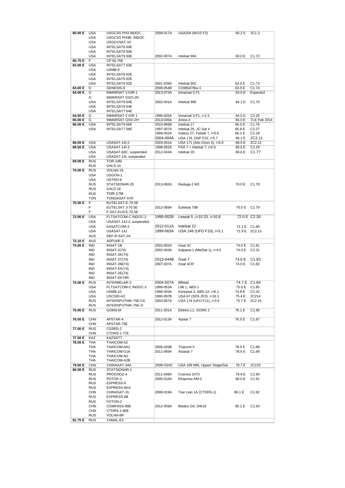| 60.00 E |                          | USGCSS PH3 INDOC        | 2009-017A | <b>USA204 (WGS F2)</b>        | 60.2 E       | 2C1.3              |
|---------|--------------------------|-------------------------|-----------|-------------------------------|--------------|--------------------|
|         | <b>USA</b>               |                         |           |                               |              |                    |
|         | <b>USA</b>               | USGCSS PH3B- INDOC      |           |                               |              |                    |
|         | <b>USA</b>               |                         |           |                               |              |                    |
|         |                          | USGOVSAT-10             |           |                               |              |                    |
|         | <b>USA</b>               | <b>INTELSAT6 60E</b>    |           |                               |              |                    |
|         | USA                      | INTELSAT8 60E           |           |                               |              |                    |
|         |                          |                         |           |                               |              |                    |
|         | <b>USA</b>               | <b>INTELSAT9 60E</b>    | 2002-007A | Intelsat 904                  | 60.0 E       | C <sub>1.72</sub>  |
| 60.75 E | F                        | CP 60.75E               |           |                               |              |                    |
|         |                          |                         |           |                               |              |                    |
| 62.00 E | <b>USA</b>               | INTELSAT7 62E           |           |                               |              |                    |
|         | USA                      | USMB-9                  |           |                               |              |                    |
|         |                          |                         |           |                               |              |                    |
|         | <b>USA</b>               | INTELSAT8 62E           |           |                               |              |                    |
|         | <b>USA</b>               | INTELSAT6 62E           |           |                               |              |                    |
|         |                          |                         |           |                               |              |                    |
|         | <b>USA</b>               | INTELSAT9 62E           | 2001-039A | Intelsat 902                  | 62.0 E       | C1.73              |
| 63.00 E | D                        | GENESIS-9               | 2009-054B | COMSATBw-1                    | 63.0 E       | C1.74              |
| 64.00 E | G                        | INMARSAT 3 IOR-1        | 2013-073A | Inmarsat 5 F1                 | 63.0 E       | Expected           |
|         |                          |                         |           |                               |              |                    |
|         | G                        | <b>INMARSAT GSO-2N</b>  |           |                               |              |                    |
|         | <b>USA</b>               | INTELSAT9 64E           | 2002-041A | Intelsat 906                  | 64.1 E       | C <sub>1.75</sub>  |
|         |                          |                         |           |                               |              |                    |
|         | <b>USA</b>               | <b>INTELSAT8 64E</b>    |           |                               |              |                    |
|         | <b>USA</b>               | INTELSAT7 64E           |           |                               |              |                    |
| 64.50 E | G                        | <b>INMARSAT-2 IOR 1</b> | 1996-020A |                               | 64.5 E       | C2.26              |
|         |                          |                         |           | Inmarsat $3-F1$ , $i=1.5$     |              |                    |
| 65.00 E | G                        | <b>INMARSAT GSO-2H</b>  | 2013-045A | Amos-4                        | 65.0 E       | TLE Feb 2014       |
| 66.00 E | <b>USA</b>               | INTELSAT9 66E           | 2010-065B | Intelsat 17                   | 66.0 E       | C1.76              |
|         |                          |                         |           |                               |              |                    |
|         | <b>USA</b>               | INTELSAT7 66E           | 1997-007A | Intelsat 26, JC-Sat 4         | 65.8 E       | C2.27              |
|         |                          |                         | 1999-052A | Galsxy 27, Telstar 7, i=0.6   | 66.2 E       | C2.28              |
|         |                          |                         |           |                               |              |                    |
|         |                          |                         | 2004-004A | USA 176, DSP F22, i=5.7       | 66.1 E       | 2C2.11             |
| 68.00 E | <b>USA</b>               | <b>USASAT-14I-2</b>     | 2003-041A | USA 171 (Adv.Orion 3), i=6.9  | 68.0 E       | 2C2.12             |
| 68.50 E | <b>USA</b>               | <b>USASAT-14I-3</b>     | 1998-052A | PAS $7 =$ Intelsat 7, $i=0.6$ | 68.6 E       | C2.29              |
|         |                          |                         |           |                               |              |                    |
|         | <b>USA</b>               | USASAT-60C, suspended   | 2012-043A | Intelsat 20                   | 68.6 E       | C <sub>1.77</sub>  |
|         | <b>USA</b>               | USASAT-14I, suspended   |           |                               |              |                    |
|         |                          |                         |           |                               |              |                    |
| 69.00 E | <b>RUS</b>               | <b>TOR-14M</b>          |           |                               |              |                    |
|         | <b>RUS</b>               | GALS-14                 |           |                               |              |                    |
|         |                          |                         |           |                               |              |                    |
| 70.00 E | <b>RUS</b>               | VOLNA-19                |           |                               |              |                    |
|         | <b>USA</b>               | USGON-1                 |           |                               |              |                    |
|         |                          |                         |           |                               |              |                    |
|         | <b>USA</b>               | USTRO-6                 |           |                               |              |                    |
|         | RUS                      | STATSIONAR-20           | 2013-062A | Raduga-1 M3                   | 70.0 E       | C1.78              |
|         |                          |                         |           |                               |              |                    |
|         | <b>RUS</b>               | GALS-16                 |           |                               |              |                    |
|         | <b>RUS</b>               | <b>TOR-17M</b>          |           |                               |              |                    |
|         |                          |                         |           |                               |              |                    |
|         | <b>TON</b>               | TONGASAT-H70            |           |                               |              |                    |
| 70.50 E | F                        | EUTELSAT-E-70.5E        |           |                               |              |                    |
|         | F                        | EUTELSAT 3-70.5E        | 2012-069A | Eutelsat 70B                  | 70.5 E C1.79 |                    |
|         |                          |                         |           |                               |              |                    |
|         | F                        | F-SAT-KU3-E-70.5E       |           |                               |              |                    |
| 72.00 E | <b>USA</b>               | FLTSATCOM-C INDOC-2     | 1990-002B | Leasat 5, i=10.33. i=10.8     |              | 72.0 E C2.30       |
|         |                          |                         |           |                               |              |                    |
|         | <b>USA</b>               | USASAT-14J-2, suspended |           |                               |              |                    |
|         | <b>USA</b>               | KASATCOM-3              | 2012-011A | Intelsat 22                   | 72.1 E C1.80 |                    |
|         |                          |                         |           |                               |              |                    |
|         | <b>USA</b>               | USASAT-14J              | 1999-063A | USA 146 (UFO F10), i=5.1      |              | 71.9 E 2C2.13      |
|         | <b>AUS</b>               | DEF-R-SAT-2A            |           |                               |              |                    |
|         |                          |                         |           |                               |              |                    |
| 72.10 E | <b>AUS</b>               | ADFUHF-2                |           |                               |              |                    |
| 74.00 E | <b>IND</b>               | <b>INSAT-1B</b>         | 2002-002A | Insat 3C                      | 74.0 E       | C <sub>1.81</sub>  |
|         |                          |                         |           |                               |              |                    |
|         | IND                      | <b>INSAT-2(74)</b>      | 2002-043A | Kalpana-1 (MetSat-1), i=4.0   | 74.0 E       | C <sub>2.31</sub>  |
|         | <b>IND</b>               | INSAT-2K(74)            |           |                               |              |                    |
|         |                          |                         |           |                               |              |                    |
|         |                          |                         |           |                               |              |                    |
|         | IND                      | <b>INSAT-2T(74)</b>     | 2013-044B | Gsat 7                        | 74.0 E       | C <sub>1.83</sub>  |
|         |                          |                         |           |                               |              |                    |
|         | IND                      | <b>INSAT-2M(74)</b>     | 2007-037A | Insat 4CR                     | 74.0 E       | C <sub>1.82</sub>  |
|         | <b>IND</b>               | INSAT-EK(74)            |           |                               |              |                    |
|         | IND                      |                         |           |                               |              |                    |
|         |                          | $INSAT-2E(74)$          |           |                               |              |                    |
|         | <b>IND</b>               | INSAT-EK74R             |           |                               |              |                    |
| 75.00 E | <b>RUS</b>               | INTERBELAR-2            | 2004-007A | Mbsat                         |              | 74.7 E C1.84       |
|         |                          |                         |           |                               |              |                    |
|         | <b>USA</b>               | FLTSATCOM-C INDOC-3     | 1999-053A | LMI 1, ABS-1                  | 75.0 E       | C <sub>1.85</sub>  |
|         | USA                      | USMB-10                 | 1996-003A | Koreasat 2, ABS-1A, i=6.1     | 74.8 E       | C <sub>2</sub> .32 |
|         | <b>USA</b>               | USCSID-A3               | 1990-097B |                               | 75.4 E       | 2C214              |
|         |                          |                         |           | USA 67 (SDS 2F2), i=16.1      |              |                    |
|         | <b>RUS</b>               | INTERSPUTNIK-75E-CK     | 2003-057A | USA 174 (UFO F11), i=3.6      | 75.7 E       | 2C2.15             |
|         | <b>RUS</b>               | INTERSPUTNIK-75E-O      |           |                               |              |                    |
|         |                          |                         |           |                               |              |                    |
| 76.00 E | <b>RUS</b>               | GOMS-M                  | 2011-001A | Elektro-L1, GOMS 2            | 76.1 E       | C1.86              |
|         |                          |                         |           |                               |              |                    |
| 76.50 E | <b>CHN</b>               |                         |           |                               |              |                    |
|         |                          | APSTAR-4                | 2012-013A | Apstar 7                      | 76.5 E       | C <sub>1.87</sub>  |
|         | <b>CHN</b>               | APSTAR-76E              |           |                               |              |                    |
| 77.00 E | <b>RUS</b>               | CSSRD-2                 |           |                               |              |                    |
|         |                          |                         |           |                               |              |                    |
|         | <b>CHN</b>               | CTDRS-1-77E             |           |                               |              |                    |
| 77.50 E | KAZ                      | KAZSAT7                 |           |                               |              |                    |
|         |                          |                         |           |                               |              |                    |
| 78.50 E | THA                      | THAICOM-A2              |           |                               |              |                    |
|         | THA                      | THAICOM-AK2             | 2006-020B | Thaicom 5                     | 78.5 E       | C1.88              |
|         | THA                      | THAICOM-G1K             | 2011-069A | Asiasat 7                     | 78.6 E       | C1.89              |
|         |                          |                         |           |                               |              |                    |
|         | THA                      | THAICOM-N2              |           |                               |              |                    |
|         | THA                      | THAICOM-A2B             |           |                               |              |                    |
|         |                          |                         |           |                               |              |                    |
| 79.60 E | <b>CHN</b>               | CHINASAT-34A            | 2006=024C | USA 189 NRL Upperr Stage/Sat  | 78.7 E       | 2C216              |
| 80.00 E | <b>RUS</b>               | STATSIONAR-1            |           |                               |              |                    |
|         |                          |                         |           |                               |              |                    |
|         | <b>RUS</b>               | PROGNOZ-4               | 2011-048A | Cosmos 2473                   | 79.9 E       | C <sub>1.90</sub>  |
|         | <b>RUS</b>               | POTOK-2                 | 2005-010A | Ekspress AM-2                 | 80.0 E       | C <sub>1.91</sub>  |
|         | <b>RUS</b>               | EXPRESS-6               |           |                               |              |                    |
|         |                          |                         |           |                               |              |                    |
|         | <b>RUS</b>               | EXPRESS-6KA             |           |                               |              |                    |
|         | <b>CHN</b>               | CHINASAT-31             | 2008-019A | Tian Lian 1A (CTDRS-1)        | 80,1 E       | C <sub>1.92</sub>  |
|         |                          |                         |           |                               |              |                    |
|         | <b>RUS</b>               | EXPRESS-6B              |           |                               |              |                    |
|         | <b>RUS</b>               | FOTON-2                 |           |                               |              |                    |
|         |                          |                         |           |                               |              |                    |
|         | <b>CHN</b>               | COMPASS-80E             | 2012-059A | Beidou G6, DW16               | 80.1 E       | C <sub>1.93</sub>  |
|         | <b>CHN</b>               | CTDRS-1-80E             |           |                               |              |                    |
|         |                          |                         |           |                               |              |                    |
| 81.75 E | <b>RUS</b><br><b>RUS</b> | VOLNA-8R<br>YAMAL-E3    |           |                               |              |                    |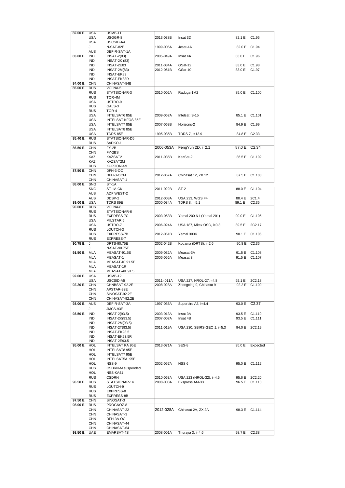| 82.00 E | <b>USA</b> | USMB-11                  |           |                             |              |                    |
|---------|------------|--------------------------|-----------|-----------------------------|--------------|--------------------|
|         | <b>USA</b> | USGGR-8                  | 2013-038B | Insat 3D                    | 82.1 E       | C <sub>1.95</sub>  |
|         | <b>USA</b> | USCSID-A4                |           |                             |              |                    |
|         | J          | N-SAT-82E                | 1999-006A | Jcsat-4A                    | 82.0 E C1.94 |                    |
|         |            |                          |           |                             |              |                    |
|         | <b>AUS</b> | DEF-R-SAT-1A             |           |                             |              |                    |
| 83.00 E | <b>IND</b> | <b>INSAT-2(83)</b>       | 2005-049A | Insat 4A                    | 83.0 E       | C <sub>1.96</sub>  |
|         | IND        | <b>INSAT-2K (83)</b>     |           |                             |              |                    |
|         | IND        | INSAT-2E83               | 2011-034A | GSat-12                     | 83.0 E       | C <sub>1.98</sub>  |
|         | IND        | <b>INSAT-2M(83)</b>      | 2012-051B | GSat-10                     | 83.0 E       | C <sub>1.97</sub>  |
|         | IND        | <b>INSAT-EK83</b>        |           |                             |              |                    |
|         | IND        | <b>INSAT-EK83R</b>       |           |                             |              |                    |
|         |            |                          |           |                             |              |                    |
| 84.00 E | <b>CHN</b> | CHINASAT-84B             |           |                             |              |                    |
| 85.00 E | <b>RUS</b> | VOLNA-5                  |           |                             |              |                    |
|         | <b>RUS</b> | STATSIONAR-3             | 2010-002A | Raduga-1M2                  | 85.0 E       | C <sub>1.100</sub> |
|         | <b>RUS</b> | TOR-4M                   |           |                             |              |                    |
|         | <b>USA</b> | USTRO-9                  |           |                             |              |                    |
|         | <b>RUS</b> | GALS-3                   |           |                             |              |                    |
|         | <b>RUS</b> | TOR-4                    |           |                             |              |                    |
|         | USA        | INTELSAT6 85E            | 2009-067A | Intelsat IS-15              |              | 85.1 E C1.101      |
|         | <b>USA</b> | <b>INTELSAT KFOS 85E</b> |           |                             |              |                    |
|         |            |                          |           |                             |              |                    |
|         | <b>USA</b> | <b>INTELSAT7 85E</b>     | 2007-063B | Horizons-2                  | 84.9 E       | C <sub>1.99</sub>  |
|         | <b>USA</b> | INTELSAT8 85E            |           |                             |              |                    |
|         | <b>USA</b> | TDRS 85E                 | 1995-035B | TDRS 7, i=13.9              | 84.8 E C2.33 |                    |
| 85.40 E | <b>RUS</b> | STATSIONAR-D5            |           |                             |              |                    |
|         | <b>RUS</b> | SADKO-1                  |           |                             |              |                    |
| 86.50 E | <b>CHN</b> | FY-2B                    | 2006-053A | FengYun $2D$ , $i=2.1$      | 87.0 E       | C <sub>2.34</sub>  |
|         | <b>CHN</b> | FY-2BS                   |           |                             |              |                    |
|         | KAZ        | KAZSAT2                  | 2011-035B | KazSat-2                    |              | 86.5 E C1.102      |
|         |            |                          |           |                             |              |                    |
|         | KAZ        | KAZSAT2M                 |           |                             |              |                    |
|         | <b>RUS</b> | KUPOON-4M                |           |                             |              |                    |
| 87.50 E | <b>CHN</b> | DFH-3-OC                 |           |                             |              |                    |
|         | <b>CHN</b> | DFH-3-OCM                | 2012-067A | Chinasat 12, ZX 12          |              | 87.5 E C1.103      |
|         | <b>CHN</b> | CHINASAT-1               |           |                             |              |                    |
| 88.00 E | <b>SNG</b> | ST-1A                    |           |                             |              |                    |
|         | <b>SNG</b> | ST-1A-CK                 | 2011-022B | $ST-2$                      |              | 88.0 E C1.104      |
|         | <b>AUS</b> | ADF WEST-2               |           |                             |              |                    |
|         |            |                          |           |                             |              |                    |
|         | <b>AUS</b> | DDSP-2                   | 2012-003A | USA 233, WGS F4             | 88.4 E       | 2C1.4              |
| 89.00 E | <b>USA</b> | TDRS 89E                 | 2000-034A | TDRS 8, i=5.1               | 89.1 E       | C2.35              |
| 90.00 E | <b>RUS</b> | VOLNA-8                  |           |                             |              |                    |
|         | <b>RUS</b> | STATSIONAR-6             |           |                             |              |                    |
|         | <b>RUS</b> | <b>EXPRESS-7C</b>        | 2003-053B | Yamal 200 N1 (Yamal 201)    | 90.0 E       | C1.105             |
|         | USA        | MILSTAR 5                |           |                             |              |                    |
|         | <b>USA</b> | USTRO-7                  | 2006-024A | USA 187, Mitex OSC, i=0.8   | 89.5 E       | 2C2.17             |
|         | <b>RUS</b> | LOUTCH-3                 |           |                             |              |                    |
|         | <b>RUS</b> | EXPRESS-7B               | 2012-061B | Yamal 300K                  |              | 90.1 E C1.106      |
|         | <b>RUS</b> |                          |           |                             |              |                    |
|         |            |                          |           |                             |              |                    |
|         |            | EXPRESS-7                |           |                             |              |                    |
| 90.75 E | J          | DRTS-90.75E              | 2002-042B | Kodama (DRTS), i=2.6        | 90.8 E C2.36 |                    |
|         | J          | N-SAT-90.75E             |           |                             |              |                    |
| 91.50 E | MLA        | MEASAT-91.5E             | 2009-032A | Measat-3A                   | 91.5 E       | C <sub>1.108</sub> |
|         | MLA        | MEASAT-1                 | 2006-056A | Measat 3                    | 91.5 E       | C <sub>1.107</sub> |
|         | <b>MLA</b> | MEASAT-IC 91.5E          |           |                             |              |                    |
|         | <b>MLA</b> | MEASAT-1R                |           |                             |              |                    |
|         | <b>MLA</b> |                          |           |                             |              |                    |
|         |            | MEASAT-AK 91.5           |           |                             |              |                    |
| 92.00 E | <b>USA</b> | <b>USMB-12</b>           |           |                             |              |                    |
|         | <b>USA</b> | USCSID-A5                | 2011=011A | USA 227, NROL-27, i=4.8     | 92.1 E       | 2C2.18             |
| 92.20 E | <b>CHN</b> | CHNBSAT-92.2E            | 2008-028A | Zhongxing 9, Chinasat 9     |              | 92.2 E C1.109      |
|         | <b>CHN</b> | APSTAR-92E               |           |                             |              |                    |
|         | <b>CHN</b> | SINOSAT-92.2E            |           |                             |              |                    |
|         | <b>CHN</b> | CHINASAT-92.2E           |           |                             |              |                    |
| 93.00 E | <b>AUS</b> | DEF-R-SAT-3A             | 1997-036A | Superbird A3, i=4.4         |              | 93.0 E C2.37       |
|         | J          | JMCS-93E                 |           |                             |              |                    |
|         |            |                          | 2003-013A | Insat 3A                    |              |                    |
| 93.50 E | IND        | INSAT-2(93.5)            |           |                             | 93.5 E       | C1.110             |
|         | <b>IND</b> | <b>INSAT-2K(93.5)</b>    | 2007-007A | Insat 4B                    | 93.5 E       | C1.111             |
|         | <b>IND</b> | <b>INSAT-2M(93.5)</b>    |           |                             |              |                    |
|         | IND        | INSAT-2T(93.5)           | 2011-019A | USA 230, SBIRS-GEO 1, i=5.3 |              | 94.0 E 2C2.19      |
|         | IND        | INSAT-EK93.5             |           |                             |              |                    |
|         | IND        | INSAT-EK93.5R            |           |                             |              |                    |
|         | IND        | INSAT-2E93.5             |           |                             |              |                    |
| 95.00 E | <b>HOL</b> | INTELSAT KA 95E          | 2013-071A | SES-8                       | 95.0 E       | Expected           |
|         | HOL        | <b>INTELSAT8 95E</b>     |           |                             |              |                    |
|         | HOL        |                          |           |                             |              |                    |
|         |            | INTELSAT7 95E            |           |                             |              |                    |
|         | <b>HOL</b> | INTELSAT5A 95E           |           |                             |              |                    |
|         | HOL        | NSS-9                    | 2002-057A | NSS 6                       |              | 95.0 E C1.112      |
|         | <b>RUS</b> | CSDRN-M suspended        |           |                             |              |                    |
|         | HOL        | NSS-KA41                 |           |                             |              |                    |
|         | <b>RUS</b> | <b>CSDRN</b>             | 2010-063A | USA 223 (NROL-32), i=4.5    | 95.6 E       | 2C2.20             |
| 96.50 E | <b>RUS</b> | STATSIONAR-14            | 2008-003A | Ekspress AM-33              |              | 96.5 E C1.113      |
|         | <b>RUS</b> | LOUTCH-9                 |           |                             |              |                    |
|         | <b>RUS</b> | EXPRESS-8                |           |                             |              |                    |
|         | <b>RUS</b> | EXPRESS-8B               |           |                             |              |                    |
|         |            |                          |           |                             |              |                    |
| 97.50 E | <b>CHN</b> | SINOSAT-3                |           |                             |              |                    |
| 98.00 E | <b>RUS</b> | PROGNOZ-8                |           |                             |              |                    |
|         | <b>CHN</b> | CHINASAT-22              | 2012-028A | Chinasat 2A, ZX 2A          |              | 98.3 E C1.114      |
|         | <b>CHN</b> | CHINASAT-3               |           |                             |              |                    |
|         | <b>CHN</b> | DFH-3A-OC                |           |                             |              |                    |
|         | <b>CHN</b> | CHINASAT-44              |           |                             |              |                    |
|         | <b>CHN</b> | CHINASAT-64              |           |                             |              |                    |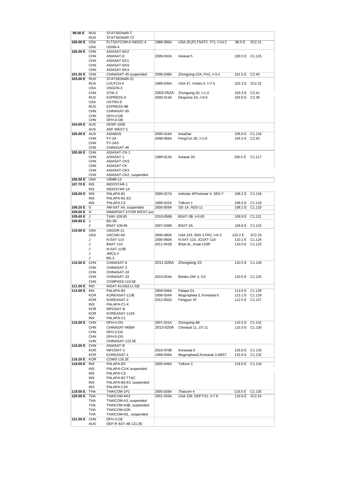| 99.00 E      | <b>RUS</b>               | STATSIONAR-T                    |           |                                 |                |                |
|--------------|--------------------------|---------------------------------|-----------|---------------------------------|----------------|----------------|
|              | <b>RUS</b>               | STATSIONAR-T2                   |           |                                 |                |                |
| 100.00 E USA |                          | FLTSATCOM-A INDOC-4             | 1986-096A | USA 20, (FLTSATC. F7), i=14.2   | 99.5 E         | 2C2.21         |
|              | <b>USA</b>               | USNN-4                          |           |                                 |                |                |
| 100.50 E CHN |                          | ASIASAT-EKZ                     |           |                                 |                |                |
|              | <b>CHN</b>               | ASIASAT-E                       | 2009-042A | Asiasat 5                       | 100.5 E C1.115 |                |
|              |                          |                                 |           |                                 |                |                |
|              | <b>CHN</b>               | ASIASAT-EK1                     |           |                                 |                |                |
|              | <b>CHN</b>               | ASIASAT-EKS                     |           |                                 |                |                |
|              | <b>CHN</b>               | ASIASAT-EKX                     |           |                                 |                |                |
| 101.50 E CHN |                          | CHINASAT-45 suspended           | 2006-038A | Zhongxing-22A, FH1, i=3.4       | 101.5 E        | C2.40          |
| 103.00 E RUS |                          | STATSIONAR-21                   |           |                                 |                |                |
|              | <b>RUS</b>               | LOUTCH-5                        | 1989-035A | USA 37, Vortex 6. I=7.5         | 102.3 E 2C2.22 |                |
|              | <b>USA</b>               | USGON-3                         |           |                                 |                |                |
|              | CHN                      | STW-2                           | 2003-052A | Zhongxing-20, i=1.0             | 103.3 E C2.41  |                |
|              | <b>RUS</b>               | EXPRESS-9                       | 2000-013A | Ekspress 2A, i=6.9              | 103.0 E C2.39  |                |
|              | <b>USA</b>               | USTRO-8                         |           |                                 |                |                |
|              | <b>RUS</b>               | EXPRESS-9B                      |           |                                 |                |                |
|              | CHN                      | CHINASAT-65                     |           |                                 |                |                |
|              | <b>CHN</b>               | DFH-4-OB                        |           |                                 |                |                |
|              | CHN                      | DFH-3-OB                        |           |                                 |                |                |
| 104.00 E AUS |                          | DDSP-104E                       |           |                                 |                |                |
|              |                          |                                 |           |                                 |                |                |
|              | <b>AUS</b>               | ADF WEST 5                      |           |                                 |                |                |
| 105.00 E AUS |                          | <b>ASIABSS</b>                  | 2000-016A | AsiaStar                        | 105.0 E C1.116 |                |
|              | <b>CHN</b>               | FY-2A                           | 2008-066A | FengYun 2E, i=1.6               | 104.5 E C2.42  |                |
|              | <b>CHN</b>               | FY-2AS                          |           |                                 |                |                |
|              | <b>CHN</b>               | CHINASAT-46                     |           |                                 |                |                |
| 105.50 E CHN |                          | ASIASAT-CK-1                    |           |                                 |                |                |
|              | <b>CHN</b>               | ASIASAT-1                       | 1999-013A | Asiasat 3S                      | 105.5 E C1.117 |                |
|              | <b>CHN</b>               | <b>ASIASAT-CKS</b>              |           |                                 |                |                |
|              | <b>CHN</b>               | ASIASAT-CK                      |           |                                 |                |                |
|              | <b>CHN</b>               | ASIASAT-CKX                     |           |                                 |                |                |
|              | <b>CHN</b>               | ASIASAT-CKZ, suspended          |           |                                 |                |                |
| 106.50 E     | <b>USA</b>               | <b>USMB-13</b>                  |           |                                 |                |                |
| 107.70 E     | <b>INS</b>               | <b>INDOSTAR-1</b>               |           |                                 |                |                |
|              | <b>INS</b>               | INDOSTAR-1A                     |           |                                 |                |                |
| 108.00 E INS |                          | PALAPA-B1                       | 2009-027A | Indostar II/Protostar II, SES-7 | 108.2 E C1.118 |                |
|              | INS                      | PALAPA-B1-EC                    |           |                                 |                |                |
|              | <b>INS</b>               | PALAPA-C2                       | 1999-042A | Telkom 1                        | 108.0 E C1.119 |                |
| 108.20 E     | G                        | AM-SAT A4, suspended            | 2000-059A | GE-1A, NSS-11                   | 108.2 E        | C1.120         |
| 109.00 E G   |                          | INMARSAT-3 POR WEST, sus        |           |                                 |                |                |
| 109.65 E J   |                          | TAIKI-109.65                    | 2010-056B | BSAT-3B, i=0.65                 | 109.9 E        | C1.121         |
| 109.85 E J   |                          | BS-3N                           |           |                                 |                |                |
|              |                          |                                 |           |                                 |                |                |
|              | J                        | <b>BSAT-109.85</b>              | 2007-036B | BSAT-3A                         | 109.8 E C1.122 |                |
| 110.00 E USA |                          | USGGR-11                        |           |                                 |                |                |
|              | <b>USA</b>               | USCSID-A6                       | 2000-080A | USA 153, SDS 3 FR2, I=6.3       | 110.2 E        | 2C2.23         |
|              | J                        | N-SAT-110                       | 2000-060A | N-SAT-110, JCSAT-110            |                | 110.1 E C1.124 |
|              | J                        | <b>BSAT-110</b>                 | 2011-041B | BSat-3c, Jcsat-110R             | 110.0 E C1.123 |                |
|              | J                        | N-SAT-110E                      |           |                                 |                |                |
|              |                          | JMCS-2                          |           |                                 |                |                |
|              | J                        |                                 |           |                                 |                |                |
|              | J                        | BS-3                            |           |                                 |                |                |
| 110.50 E CHN |                          | CHINASAT-6                      | 2011-026A | Zhongxing 10                    | 110.5 E C1.126 |                |
|              | <b>CHN</b>               | CHINASAT-2                      |           |                                 |                |                |
|              | <b>CHN</b>               | CHINASAT-33                     |           |                                 |                |                |
|              | <b>CHN</b>               | CHINASAT-33                     | 2010-024A | Beidou DW 4, G3                 | 110.5 E C1.125 |                |
|              | <b>CHN</b>               | COMPASS-110.5E                  |           |                                 |                |                |
| 111.50 E IND |                          | INSAT-KU10(111.5)E              |           |                                 |                |                |
| 113.00 E INS |                          | PALAPA-B2                       | 2009-046A | Palapa D1                       |                | 113.0 E C1.128 |
|              | <b>KOR</b>               | KOREASAT-113E                   | 2006-034A | Mugunghwa 5, Koreasat-5         | 113.1 E C1.129 |                |
|              | KOR                      | KOREASAT-2                      | 2012-002A | Fengyun 2F                      | 112.0 E C1.127 |                |
|              | INS                      | PALAPA-C1-K                     |           |                                 |                |                |
|              | KOR                      | <b>INFOSAT-B</b>                |           |                                 |                |                |
|              | KOR                      | KOREASAT-113X                   |           |                                 |                |                |
|              |                          | PALAPA-C1                       |           |                                 |                |                |
|              | INS                      |                                 | 2007-031A | Zhongxing 6B                    |                |                |
| 115.50 E CHN |                          | DFH-4-OD                        |           |                                 | 115.5 E C1.131 |                |
|              | <b>CHN</b>               | CHINASAT-MSB4                   | 2013-020A | Chinasat 11, ZX 11              |                | 115.5 E C1.130 |
|              | <b>CHN</b>               | DFH-3-OD                        |           |                                 |                |                |
|              | <b>CHN</b>               | DFH-5-OD                        |           |                                 |                |                |
|              | <b>CHN</b>               | CHINASAT-115.5E                 |           |                                 |                |                |
| 116.00 E     | <b>CHN</b>               | ASIASAT-B                       |           |                                 |                |                |
|              | KOR                      | <b>INFOSAT-C</b>                | 2010-070B | Koreasat 6                      |                | 116.0 E C1.133 |
|              | <b>KOR</b>               | KOREASAT-1                      | 1999-046A | Mugunghwa3, Koreasat 3, ABS7    | 115.9 E        | C1.132         |
| 116.20 E KOR |                          | COMS-116.2E                     |           |                                 |                |                |
| 118.00 E INS |                          | PALAPA-B3                       | 2005-046A | Telkom 2                        |                | 118.0 E C1.134 |
|              | INS                      | PALAPA-C3-K suspended           |           |                                 |                |                |
|              | INS                      | PALAPA-C3                       |           |                                 |                |                |
|              | INS                      | PALAPA-B3 TT&C                  |           |                                 |                |                |
|              | INS                      | PALAPA-B3-EC suspended          |           |                                 |                |                |
|              | INS                      | PALAPA-C3X                      |           |                                 |                |                |
| 119.50 E     | <b>THA</b>               | THAICOM-1P1                     | 2005-028A | Thaicom 4                       | 119.5 E        | C1.135         |
| 120.00 E     | THA                      | THAICOM-AK3                     | 2001-033A | USA 159, DSP F21, Í=7.9         |                | 119.6 E 2C2.24 |
|              | THA                      | THAICOM-A3, suspended           |           |                                 |                |                |
|              | THA                      | THAICOM-A3B, suspended.         |           |                                 |                |                |
|              | THA                      | THAICOM-G2K                     |           |                                 |                |                |
|              | THA                      | THAICOM-N3., suspended          |           |                                 |                |                |
|              |                          |                                 |           |                                 |                |                |
| 121.00 E     | <b>CHN</b><br><b>AUS</b> | DFH-3-OE<br>DEF-R-SAT-4B 121.0E |           |                                 |                |                |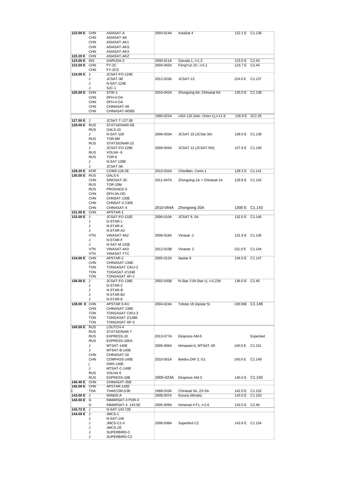| 122.00 E CHN |            | ASIASAT-A              | 2003-014A | AsiaSat 4                       | 122.1 E C1.136 |                    |
|--------------|------------|------------------------|-----------|---------------------------------|----------------|--------------------|
|              | <b>CHN</b> | ASIASAT-AK             |           |                                 |                |                    |
|              |            |                        |           |                                 |                |                    |
|              | <b>CHN</b> | ASIASAT-AK1            |           |                                 |                |                    |
|              | <b>CHN</b> | ASIASAT-AKS            |           |                                 |                |                    |
|              | <b>CHN</b> | ASIASAT-AKX            |           |                                 |                |                    |
| 122.20 E CHN |            | ASIASAT-AKZ            |           |                                 |                |                    |
|              |            |                        |           |                                 |                |                    |
| 123.00 E INS |            | GARUDA-2               | 2000-011A | Garuda 1, i=1.3                 | 123.0 E C2.43  |                    |
| 123.50 E CHN |            | $FY-2C$                | 2004-042A | FengYun 2C, i=5.1               | 123.7 E C2.44  |                    |
|              | <b>CHN</b> | FY-2CS                 |           |                                 |                |                    |
| 124.00 E J   |            | JCSAT-FO-124E          |           |                                 |                |                    |
|              |            |                        |           |                                 |                |                    |
|              | J          | JCSAT-3B               | 2012-023A | JCSAT-13                        | 124.0 E C1.137 |                    |
|              | J          | N-SAT-124E             |           |                                 |                |                    |
|              | J          | SJC-1                  |           |                                 |                |                    |
| 125.00 E CHN |            | $STW-1$                | 2010-042A | Zhongxing 6A, Chinasat 6A       | 125.0 E C1.138 |                    |
|              |            |                        |           |                                 |                |                    |
|              | <b>CHN</b> | DFH-3-OA               |           |                                 |                |                    |
|              | <b>CHN</b> | DFH-4-OA               |           |                                 |                |                    |
|              | <b>CHN</b> | CHINASAT-49            |           |                                 |                |                    |
|              | <b>CHN</b> | CHINASAT-MSB5          |           |                                 |                |                    |
|              |            |                        |           |                                 |                |                    |
|              |            |                        | 1995-022A | USA 110 (Adv. Orion 1), i=11.9, | 126.9 E 2C2.25 |                    |
| 127.50 E J   |            | JCSAT-T-127.5E         |           |                                 |                |                    |
| 128.00 E RUS |            | STATSIONAR-D6          |           |                                 |                |                    |
|              | <b>RUS</b> | GALS-10                |           |                                 |                |                    |
|              |            | <b>N-SAT-128</b>       | 2006-033A |                                 | 128.0 E C1.139 |                    |
|              | J          |                        |           | JCSAT 10 (JCSat 3A)             |                |                    |
|              | <b>RUS</b> | TOR-6M                 |           |                                 |                |                    |
|              | <b>RUS</b> | STATSIONAR-15          |           |                                 |                |                    |
|              | J          | JCSAT-FO-128E          | 2009-044A | JCSAT 12 (JCSAT-RA)             | 127.9 E C1.140 |                    |
|              | <b>RUS</b> | VOLNA-9                |           |                                 |                |                    |
|              |            | TOR-6                  |           |                                 |                |                    |
|              | <b>RUS</b> |                        |           |                                 |                |                    |
|              | J          | <b>N-SAT 128E</b>      |           |                                 |                |                    |
|              | J          | JCSAT-3A               |           |                                 |                |                    |
| 128.20 E KOR |            | COMS-128.2E            | 2010-032A | Cheollian, Coms 1               | 128.3 E        | C1.141             |
| 130.00 E RUS |            | GALS-5                 |           |                                 |                |                    |
|              |            |                        |           |                                 |                |                    |
|              | <b>CHN</b> | SINOSAT-3C             | 2011-047A | Zhongxing-1A = Chinasat 1A      | 129.8 E C1.142 |                    |
|              | <b>RUS</b> | <b>TOR-10M</b>         |           |                                 |                |                    |
|              | <b>RUS</b> | PROGNOZ-5              |           |                                 |                |                    |
|              | <b>CHN</b> | DFH-3A-OD              |           |                                 |                |                    |
|              |            |                        |           |                                 |                |                    |
|              | <b>CHN</b> | CHNSAT-130E            |           |                                 |                |                    |
|              | <b>CHN</b> | CHNSAT-2-130E          |           |                                 |                |                    |
|              | <b>CHN</b> | CHINASAT-4             | 2010-064A | Zhongxing 20A                   |                | 1300 E C1.143      |
| 131.00 E CHN |            | APSTAR-1               |           |                                 |                |                    |
| 132.00 E J   |            | JCSAT-FO-132E          | 2006-010A | JCSAT 9, 5A                     | 132.0 E C1.146 |                    |
|              |            |                        |           |                                 |                |                    |
|              | J          | D-STAR-1               |           |                                 |                |                    |
|              | J          | N-STAR-A               |           |                                 |                |                    |
|              | J          | N-STAR-A2              |           |                                 |                |                    |
|              | <b>VTN</b> | VINASAT-4A2            | 2008-018A | Vinasat -1                      | 131.9 E C1.145 |                    |
|              |            |                        |           |                                 |                |                    |
|              | J          | N-STAR-F               |           |                                 |                |                    |
|              | J          | N-SAT-M-132E           |           |                                 |                |                    |
|              | <b>VTN</b> | VINASAT-4A3            | 2012-023B | Vinasat-2                       | 131.9 E C1.144 |                    |
|              | <b>VTN</b> | VINASAT-TTC            |           |                                 |                |                    |
|              |            |                        |           |                                 |                |                    |
| 134.00 E CHN |            | APSTAR-2               | 2005-012A | Apstar <sub>6</sub>             | 134.0 E C1.147 |                    |
|              | <b>CHN</b> | CHINASAT-134E          |           |                                 |                |                    |
|              | <b>TON</b> | TONGASAT C/KU-2        |           |                                 |                |                    |
|              | <b>TON</b> | TOGASAT-2/134E         |           |                                 |                |                    |
|              | <b>TON</b> | <b>TONGASAT AP-2</b>   |           |                                 |                |                    |
|              |            |                        |           |                                 |                |                    |
| 136.00 E     | J          | JCSAT-FO-136E          | 2002-035B | N-Star 3 (N-Star c), i=2.238    | 136.0 E C2.45  |                    |
|              | J          | D-STAR-2               |           |                                 |                |                    |
|              | J          | N-STAR-B               |           |                                 |                |                    |
|              | J          | N-STAR-B2              |           |                                 |                |                    |
|              | J          | N-STAR-E               |           |                                 |                |                    |
|              |            |                        |           |                                 |                |                    |
| 138.00 E CHN |            | APSTAR 5-KU            | 2004-024A | Telstar 18 (Apstar 5)           | 138.00E C1.148 |                    |
|              | <b>CHN</b> | CHINASAT-138E          |           |                                 |                |                    |
|              | <b>TON</b> | <b>TONGASAT C/KU-3</b> |           |                                 |                |                    |
|              | <b>TON</b> | TONGASAT 2/138E        |           |                                 |                |                    |
|              | <b>TON</b> | TONGASAT AP-3          |           |                                 |                |                    |
|              |            |                        |           |                                 |                |                    |
| 140.00 E RUS |            | LOUTCH-4               |           |                                 |                |                    |
|              | <b>RUS</b> | STATSIONAR 7           |           |                                 |                |                    |
|              | <b>RUS</b> | EXPRESS-10             | 2013-077A | Ekspress AM-5                   |                | Expected           |
|              | <b>RUS</b> | EXPRESS-10KA           |           |                                 |                |                    |
|              | J          | MTSAT-140E             | 2005-006A | Himawari-6, MTSAT-1R            | 140.0 E C1.151 |                    |
|              |            |                        |           |                                 |                |                    |
|              | J          | MTSAT-B-140E           |           |                                 |                |                    |
|              | CHN        | CHINASAT-32            |           |                                 |                |                    |
|              | <b>CHN</b> | COMPASS-140E           | 2010-001A | Beidou DW 3, G1                 | 140.0 E C1.149 |                    |
|              | Ĵ.         | GMS-140E               |           |                                 |                |                    |
|              |            |                        |           |                                 |                |                    |
|              | J          | MTSAT-C-140E           |           |                                 |                |                    |
|              | <b>RUS</b> | VOLNA 6                |           |                                 |                |                    |
|              | <b>RUS</b> | EXPRESS-10B            | 2005-023A | Ekspress AM-3                   |                | 140.0 E C1.150     |
| 140.40 E CHN |            | CHINASAT-35B           |           |                                 |                |                    |
| 142.00 E CHN |            | APSTAR-142E            |           |                                 |                |                    |
| с            | THA        | <b>THAICOM-G3K</b>     | 1999-033A | Chinasat 5A, ZX-5A              | 142.0 E C1.152 |                    |
|              |            |                        |           |                                 |                |                    |
| 143.00 E J   |            | WINDS-A                | 2008.007A | Kizuna (Winds)                  | 143.0 E        | C <sub>1.153</sub> |
| 143.50 E G   |            | INMARSAT-3 POR-3       |           |                                 |                |                    |
|              | G          | INMARSAT-4 143.5E      | 2005-009A | Inmarsat $4$ F1, $i=2.6$        | 143.5 E C2.46  |                    |
| 143.72 E J   |            | N-SAT-143.72E          |           |                                 |                |                    |
|              |            |                        |           |                                 |                |                    |
| 144.00 E J   |            | JMCS-1                 |           |                                 |                |                    |
|              | J          | N-SAT-146              |           |                                 |                |                    |
|              | J          | JMCS-C2-X              | 2008-038A | Superbird C2                    | 143.9 E C1.154 |                    |
|              | J          | JMCS-1R                |           |                                 |                |                    |
|              |            |                        |           |                                 |                |                    |
|              | J          | SUPERBIRD-C            |           |                                 |                |                    |
|              | J          | SUPERBIRD-C2           |           |                                 |                |                    |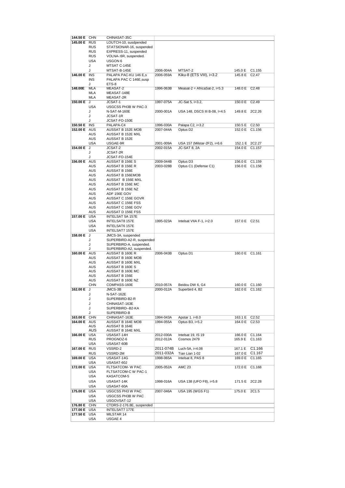| 144.50 E CHN |            | CHINASAT-35C              |           |                                 |                |                    |
|--------------|------------|---------------------------|-----------|---------------------------------|----------------|--------------------|
|              |            |                           |           |                                 |                |                    |
| 145.00 E RUS |            | LOUTCH-10, susdpended     |           |                                 |                |                    |
|              | <b>RUS</b> | STATSIONAR-16, suspended  |           |                                 |                |                    |
|              | <b>RUS</b> | EXPRESS-11, suspended     |           |                                 |                |                    |
|              |            |                           |           |                                 |                |                    |
|              | <b>RUS</b> | VOLNA-:6R, suspended.     |           |                                 |                |                    |
|              | <b>USA</b> | USGON 6                   |           |                                 |                |                    |
|              | J          | MTSAT C-145E              |           |                                 |                |                    |
|              |            |                           |           |                                 |                |                    |
|              | J          | MTSAT-B-145E              | 2006-004A | MTSAT-2                         | 145.0 E C1.155 |                    |
| 146.00 E     | <b>INS</b> | PALAPA PAC-KU 146 E,s     | 2006-059A | Kiku-8 (ETS VIII), i=3.2        | 145.8 E        | C <sub>2</sub> .47 |
|              | <b>INS</b> | PALAPA PAC C 146E, susp   |           |                                 |                |                    |
|              |            |                           |           |                                 |                |                    |
|              | J          | ETS-8                     |           |                                 |                |                    |
| 148.00E      | <b>MLA</b> | <b>MEASAT-2</b>           | 1996-063B | Measat-2 = AfricaSat-2, $i=5.3$ | 148.0 E C2.48  |                    |
|              |            |                           |           |                                 |                |                    |
|              | <b>MLA</b> | MEASAT-148E               |           |                                 |                |                    |
|              | <b>MLA</b> | MEASAT-2R                 |           |                                 |                |                    |
| 150.00 E     | J          | JCSAT-1                   | 1997-075A | JC-Sat 5, i=3.2,                | 150.0 E C2.49  |                    |
|              |            |                           |           |                                 |                |                    |
|              | <b>USA</b> | USGCSS PH3B W PAC-3       |           |                                 |                |                    |
|              | J          | N-SAT-M-160E              | 2000-001A | USA 148, DSCS III B-08, I=4.5   |                | 149.8 E 2C2.26     |
|              |            |                           |           |                                 |                |                    |
|              | J          | JCSAT-1R                  |           |                                 |                |                    |
|              | J          | JCSAT-FO-150E             |           |                                 |                |                    |
| 150.50 E     | <b>INS</b> | PALAPA-C4                 | 1996-030A | Palapa C2, i=3.2                | 150.5 E        | C <sub>2.50</sub>  |
|              |            |                           |           |                                 |                |                    |
| 152.00 E AUS |            | AUSSAT B 152E MOB         | 2007-044A | Optus D <sub>2</sub>            |                | 152.0 E C1.156     |
|              | <b>AUS</b> | AUSSAT B 152E MXL         |           |                                 |                |                    |
|              |            |                           |           |                                 |                |                    |
|              | <b>AUS</b> | AUSSAT B 152E             |           |                                 |                |                    |
|              | <b>USA</b> | USGAE-9R                  | 2001-009A | USA 157 (Milstar-2F2), i=6.6    |                | 152.1 E 2C2.27     |
| 154.00 E     | J          | JCSAT-2                   | 2002-015A | JC-SAT 8, 2A                    |                | 154.0 E C1.157     |
|              |            |                           |           |                                 |                |                    |
|              | J          | JCSAT-2R                  |           |                                 |                |                    |
|              | J          | JCSAT-FO-154E             |           |                                 |                |                    |
|              |            |                           | 2009-044B |                                 |                |                    |
| 156.00 E AUS |            | AUSSAT B 156E S           |           | Optus D3                        |                | 156.0 E C1.159     |
|              | <b>AUS</b> | AUSSAT B 156E R           | 2003-028B | Optus C1 (Defense C1)           | 156.0 E C1.158 |                    |
|              | <b>AUS</b> | AUSSAT B 156E             |           |                                 |                |                    |
|              |            |                           |           |                                 |                |                    |
|              | <b>AUS</b> | AUSSAT B 156EMOB          |           |                                 |                |                    |
|              | <b>AUS</b> | AUSSAT B 156E MXL         |           |                                 |                |                    |
|              |            |                           |           |                                 |                |                    |
|              | AUS        | AUSSAT B 156E MC          |           |                                 |                |                    |
|              | <b>AUS</b> | AUSSAT B 156E NZ          |           |                                 |                |                    |
|              | <b>AUS</b> | ADF 156E GOV              |           |                                 |                |                    |
|              |            |                           |           |                                 |                |                    |
|              | <b>AUS</b> | AUSSAT C 156E GOVR        |           |                                 |                |                    |
|              | <b>AUS</b> | AUSSAT C 156E FSS         |           |                                 |                |                    |
|              |            |                           |           |                                 |                |                    |
|              | <b>AUS</b> | AUSSAT C 156E GOV         |           |                                 |                |                    |
|              | <b>AUS</b> | AUSSAT D 156E FSS         |           |                                 |                |                    |
|              | <b>USA</b> | INTELSAT 5A 157E          |           |                                 |                |                    |
| 157.00 E     |            |                           |           |                                 |                |                    |
|              | <b>USA</b> | INTELSAT8 157E            | 1995-023A | Intelsat VIIA F-1, i=2.0        | 157.0 E C2.51  |                    |
|              | <b>USA</b> | INTELSAT6 157E            |           |                                 |                |                    |
|              |            |                           |           |                                 |                |                    |
|              | <b>USA</b> | INTELSAT7 157E            |           |                                 |                |                    |
| 158.00 E J   |            | JMCS-3A, suspended        |           |                                 |                |                    |
|              |            |                           |           |                                 |                |                    |
|              | J          | SUPERBIRD-A2-R, suspended |           |                                 |                |                    |
|              | J          | SUPERBIRD-A, suspended.   |           |                                 |                |                    |
|              | J          | SUPERBIRD-A2, suspended.  |           |                                 |                |                    |
|              |            |                           |           |                                 |                |                    |
| 160.00 E AUS |            | AUSSAT B 160E R           | 2006-043B | Optus D1                        | 160.0 E C1.161 |                    |
|              | <b>AUS</b> | AUSSAT B 160E MOB         |           |                                 |                |                    |
|              | <b>AUS</b> | AUSSAT B 160E MXL         |           |                                 |                |                    |
|              |            |                           |           |                                 |                |                    |
|              | <b>AUS</b> | AUSSAT B 160E S           |           |                                 |                |                    |
|              | <b>AUS</b> | AUSSAT B 160E MC          |           |                                 |                |                    |
|              | <b>AUS</b> | <b>AUSSAT B 156E</b>      |           |                                 |                |                    |
|              |            |                           |           |                                 |                |                    |
|              | AUS        | AUSSAT B 160E NZ          |           |                                 |                |                    |
|              | <b>CHN</b> | COMPASS-160E              | 2010-057A | Beidou DW 6, G4                 | 160.0 E C1.160 |                    |
|              |            |                           |           |                                 |                |                    |
| 162.00 E J   |            | JMCS-3B                   | 2000-012A | Superbird 4, B2                 |                | 162.0 E C1.162     |
|              | J          | N-SAT-162E                |           |                                 |                |                    |
|              | J          | SUPERBIRD-B2-R            |           |                                 |                |                    |
|              |            |                           |           |                                 |                |                    |
|              | J          | CHINASAT-163E             |           |                                 |                |                    |
|              | J          | SUPERBIRD--B2-KA          |           |                                 |                |                    |
|              | J          | SUPERBIRD-B               |           |                                 |                |                    |
|              |            |                           |           |                                 |                |                    |
| 163.00 E     | <b>CHN</b> | CHINASAT-163E             | 1994-043A | Apstar 1. i=8.0                 | 163.1 E        | C <sub>2.52</sub>  |
| 164.00 E AUS |            | AUSSAT B 164E MOB         | 1994-055A | Optus B3, i=5.2                 | 164.0 E C2.53  |                    |
|              | <b>AUS</b> | AUSSAT B 164E             |           |                                 |                |                    |
|              | <b>AUS</b> |                           |           |                                 |                |                    |
|              |            | AUSSAT B 164E MXL         |           |                                 |                |                    |
| 166.00 E USA |            | USASAT-14H                | 2012-030A | Intelsat 19, IS 19              | 166.0 E        | C1.164             |
|              | <b>RUS</b> | PROGNOZ-6                 | 2012-012A | Cosmos 2479                     | 165.9 E        | C1.163             |
|              |            |                           |           |                                 |                |                    |
|              | <b>USA</b> | USASAT-60B                |           |                                 |                |                    |
| 167.00 E RUS |            | VSSRD-2                   | 2011-074B | Luch-5A, i=4.08                 | 167.1 E        | C1.166             |
|              | <b>RUS</b> | VSSRD-2M                  | 2011-032A | Tian Lian 1-02                  |                | 167.0 E C1.167     |
|              |            |                           |           |                                 |                |                    |
| 169.00 E USA |            | USASAT-14G                | 1998-065A | Intelsat 8, PAS 8               |                | 169.0 E C1.165     |
|              | <b>USA</b> | USASAT-60J                |           |                                 |                |                    |
|              |            |                           |           |                                 |                |                    |
| 172.00 E USA |            | FLTSATCOM- W PAC          | 2005-052A | <b>AMC 23</b>                   |                | 172.0 E C1.168     |
|              | <b>USA</b> | FLTSATCOM-C W PAC-1       |           |                                 |                |                    |
|              |            |                           |           |                                 |                |                    |
|              | <b>USA</b> | KASATCOM-5                |           |                                 |                |                    |
|              | <b>USA</b> | USASAT-14K                | 1998-016A | USA 138 (UFO F8), i=5.8         |                | 171.5 E 2C2.28     |
|              |            |                           |           |                                 |                |                    |
|              | <b>USA</b> | USASAT-60A                |           |                                 |                |                    |
| 175.00 E USA |            | USGCSS PH3 W PAC          | 2007-046A | USA 195 (WGS F1)                | 175.0 E 2C1.5  |                    |
|              |            |                           |           |                                 |                |                    |
|              | <b>USA</b> | USGCSS PH3B W PAC         |           |                                 |                |                    |
|              | <b>USA</b> | USGOVSAT-12               |           |                                 |                |                    |
|              |            |                           |           |                                 |                |                    |
| 176.80 E     | <b>CHN</b> | CTDRS-2-176.8E, suspended |           |                                 |                |                    |
| 177.00 E USA |            | INTELSAT7 177E            |           |                                 |                |                    |
|              |            |                           |           |                                 |                |                    |
|              |            |                           |           |                                 |                |                    |
| 177.50 E USA |            | MILSTAR 14                |           |                                 |                |                    |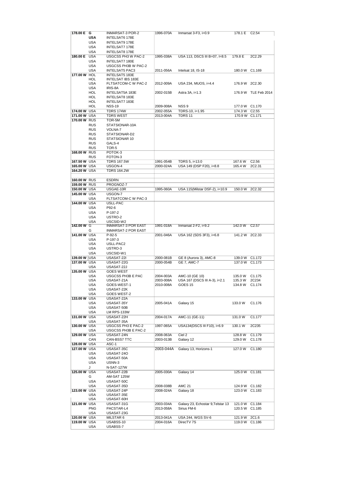| 178.00 E G   |            | INMARSAT-3 POR-2           | 1996-070A | Inmarsat $3-F3$ , $F50.9$         | 178.1 E C2.54  |                      |
|--------------|------------|----------------------------|-----------|-----------------------------------|----------------|----------------------|
|              | <b>USA</b> | INTELSAT6 178E             |           |                                   |                |                      |
|              | <b>USA</b> | INTELSAT9 178E             |           |                                   |                |                      |
|              |            |                            |           |                                   |                |                      |
|              | <b>USA</b> | INTELSAT7 178E             |           |                                   |                |                      |
|              | <b>USA</b> | INTELSAT8 178E             |           |                                   |                |                      |
| 180.00 E USA |            | USGCSS PH3 W PAC-2         | 1995-038A | USA 113, DSCS III B=07, I=8.5     | 179.8 E        | 2C2.29               |
|              | <b>USA</b> | INTELSAT7 180E             |           |                                   |                |                      |
|              | <b>USA</b> | USGCSS PH3B W PAC-2        |           |                                   |                |                      |
|              |            |                            |           |                                   |                |                      |
|              | <b>USA</b> | <b>INTELSAT5 PAC3</b>      | 2011-056A | Intelsat 18, IS-18                | 180.0 W C1.169 |                      |
| 177.00 W HOL |            | INTELSAT5 183E             |           |                                   |                |                      |
|              | HOL        | INTELSAT IBS 183E          |           |                                   |                |                      |
|              | <b>USA</b> | FLTSATCOM-C W PAC-2        | 2012-009A | USA 234, MUOS, i=4.4              | 176.9 W 2C2.30 |                      |
|              | <b>USA</b> | IRIS-8A                    |           |                                   |                |                      |
|              | HOL        | INTELSAT5A 183E            | 2002-015B | Astra 3A, i=1.3                   |                | 176.9 W TLE Feb 2014 |
|              | HOL        |                            |           |                                   |                |                      |
|              |            | INTELSAT8 183E             |           |                                   |                |                      |
|              | HOL        | INTELSAT7 183E             |           |                                   |                |                      |
|              | <b>HOL</b> | <b>NSS-19</b>              | 2009-008A | NSS <sub>9</sub>                  | 177.0 W C1.170 |                      |
| 174.00 W USA |            | <b>TDRS 174W</b>           | 2002-055A | TDRS-10, i=1.95                   | 174.3 W        | C <sub>2.55</sub>    |
| 171.00 W USA |            | <b>TDRS WEST</b>           | 2013-004A | <b>TDRS 11</b>                    | 170.9 W C1.171 |                      |
| 170.00 W RUS |            | TOR-5M                     |           |                                   |                |                      |
|              |            |                            |           |                                   |                |                      |
|              | <b>RUS</b> | STATSIONAR-10A             |           |                                   |                |                      |
|              | <b>RUS</b> | VOLNA-7                    |           |                                   |                |                      |
|              | <b>RUS</b> | STATSIONAR-D2              |           |                                   |                |                      |
|              | <b>RUS</b> | STATSIONAR 10              |           |                                   |                |                      |
|              | <b>RUS</b> | GALS-4                     |           |                                   |                |                      |
|              |            |                            |           |                                   |                |                      |
|              | <b>RUS</b> | TOR-5                      |           |                                   |                |                      |
| 168.00 W RUS |            | POTOK-3                    |           |                                   |                |                      |
|              | <b>RUS</b> | FOTON-3                    |           |                                   |                |                      |
| 167.50 W USA |            | <b>TDRS 167.5W</b>         | 1991-054B | TDRS 5, i=13.0                    | 167.6 W        | C2.56                |
| 165.00 W USA |            | USGON-4                    | 2000-024A | USA 149 (DSP F20), i=8.8          | 165.4 W        | 2C2.31               |
|              |            | <b>TDRS 164.2W</b>         |           |                                   |                |                      |
| 164.20 W USA |            |                            |           |                                   |                |                      |
|              |            |                            |           |                                   |                |                      |
| 160.00 W RUS |            | <b>ESDRN</b>               |           |                                   |                |                      |
| 159.00 W RUS |            | PROGNOZ-7                  |           |                                   |                |                      |
| 150.00 W USA |            | USGAE-10R                  | 1995-060A | USA 115(Milstar DSF-2), i=10.9    | 150.0 W 2C2.32 |                      |
| 145.00 W USA |            | USGON-7                    |           |                                   |                |                      |
|              |            |                            |           |                                   |                |                      |
|              | <b>USA</b> | <b>FLTSATCOM-C W PAC-3</b> |           |                                   |                |                      |
| 144.00 W USA |            | USLL-PAC                   |           |                                   |                |                      |
|              | <b>USA</b> | P92-6                      |           |                                   |                |                      |
|              | <b>USA</b> | P-197-2                    |           |                                   |                |                      |
|              | <b>USA</b> | USTRO-2                    |           |                                   |                |                      |
|              |            |                            |           |                                   |                |                      |
|              | <b>USA</b> | USCSID-W2                  |           |                                   |                |                      |
| 142.00 W G   |            | <b>INMARSAT-3 POR EAST</b> | 1991-018A | Inmarsat $2$ -F2, $i=9.2$         | 142.0 W        | C2.57                |
|              |            |                            |           |                                   |                |                      |
|              | G          | <b>INMARSAT-2 POR EAST</b> |           |                                   |                |                      |
| 141.00 W USA |            | $P-92-5$                   | 2001-046A | USA 162 (SDS 3F3), i=6.8          | 141.2 W 2C2.33 |                      |
|              | <b>USA</b> | P-197-3                    |           |                                   |                |                      |
|              |            |                            |           |                                   |                |                      |
|              | <b>USA</b> | USLL-PAC2                  |           |                                   |                |                      |
|              | <b>USA</b> | USTRO-3                    |           |                                   |                |                      |
|              | <b>USA</b> | USCSID-W1                  |           |                                   |                |                      |
| 139.00 W USA |            | USASAT-22I                 | 2000-081B | GE 8 (Aurora 3), AMC-8            | 139.0 W C1.172 |                      |
| 137.00 W USA |            | USASAT-22G                 | 2000-054B | <b>GE 7, AMC-7</b>                | 137.0 W C1.173 |                      |
|              | <b>USA</b> |                            |           |                                   |                |                      |
|              |            | USASAT-22J                 |           |                                   |                |                      |
| 135.00 W USA |            | <b>GOES WEST</b>           |           |                                   |                |                      |
|              | <b>USA</b> | USGCSS PH3B E PAC          | 2004-003A | AMC-10 (GE 10)                    | 135.0 W        | C <sub>1.175</sub>   |
|              | <b>USA</b> | USASAT-21A                 | 2003-008A | USA 167 (DSCS III A-3), i=2.1     | 135.3 W        | 2C234                |
|              | <b>USA</b> | GOES-WEST-1                | 2010-008A | GOES <sub>15</sub>                | 134.8 W        | C1.174               |
|              | <b>USA</b> | USASAT-22K                 |           |                                   |                |                      |
|              |            |                            |           |                                   |                |                      |
|              | <b>USA</b> | GOES WEST-2                |           |                                   |                |                      |
| 133.00 W USA |            | USASAT-22A                 |           |                                   |                |                      |
|              | <b>USA</b> | USASAT-35Y                 | 2005-041A | Galaxy 15                         | 133.0 W        | C1.176               |
|              | <b>USA</b> | USASAT-50B                 |           |                                   |                |                      |
|              | <b>USA</b> | LM RPS-133W                |           |                                   |                |                      |
| 131.00 W USA |            | USASAT-22H                 | 2004-017A | AMC-11 (GE-11)                    | 131.0 W        | C1.177               |
|              | <b>USA</b> | USASAT-35A                 |           |                                   |                |                      |
|              |            |                            |           |                                   |                |                      |
| 130.00 W USA |            | USGCSS PH3 E PAC-2         | 1997-065A | USA134(DSCS III F10), i=6.9       | 130.1 W        | 2C235                |
|              | <b>USA</b> | USGCSS PH3B E PAC-2        |           |                                   |                |                      |
| 129.00 W USA |            | USASAT-24N                 | 2008-063A | Ciel 2                            | 128.8 W        | C1.179               |
|              | CAN        | CAN-BSS7 TTC               | 2003-013B | Galaxy 12                         | 129.0 W        | C1.178               |
| 128.00 W USA |            | ASC-1                      |           |                                   |                |                      |
| 127.00 W USA |            | USASAT-35C                 | 2003-044A | Galaxy 13, Horizons-1             | 127.0 W        | C1.180               |
|              |            |                            |           |                                   |                |                      |
|              | <b>USA</b> | USASAT-240                 |           |                                   |                |                      |
|              | <b>USA</b> | USASAT-50A                 |           |                                   |                |                      |
|              | <b>USA</b> | USNN-3                     |           |                                   |                |                      |
|              | J          | N-SAT-127W                 |           |                                   |                |                      |
|              |            |                            |           |                                   |                |                      |
| 125.00 W USA |            | USASAT-22B                 | 2005-030A | Galaxy 14                         | 125.0 W C1.181 |                      |
|              | G          | AM-SAT 125W                |           |                                   |                |                      |
|              | <b>USA</b> | USASAT-50C                 |           |                                   |                |                      |
|              | <b>USA</b> | USASAT-35D                 | 2008-038B | <b>AMC 21</b>                     | 124.9 W C1.182 |                      |
| 123.00 W USA |            | USASAT-24P                 |           |                                   |                |                      |
|              |            |                            | 2008-024A | Galaxy 18                         | 123.0 W C1.183 |                      |
|              | <b>USA</b> | USASAT-35E                 |           |                                   |                |                      |
|              | <b>USA</b> | USASAT-60H                 |           |                                   |                |                      |
| 121.00 W USA |            | USASAT-31G                 | 2003-034A | Galaxy 23, Echostar 9, Telstar 13 | 121.0 W C1.184 |                      |
|              | <b>PNG</b> | PACSTAR-L4                 | 2013-058A | Sirius FM-6                       | 120.5 W C1.185 |                      |
|              | <b>USA</b> | USASAT-23G                 |           |                                   |                |                      |
|              |            |                            |           |                                   |                |                      |
| 120.00 W USA |            | MILSTAR 6                  | 2013-041A | USA 244, WGS SV-6                 | 121.9 W        | 2C1.6                |
| 119.00 W USA | <b>USA</b> | USABSS-10<br>USABSS-7      | 2004-016A | DirecTV 7S                        | 119.0 W C1.186 |                      |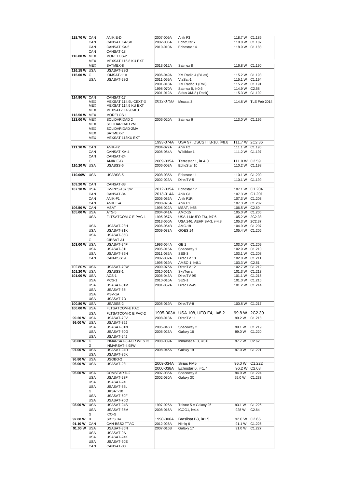| 118.70 W CAN |                   | ANIK E-D                | 2007-009A | Anik F3                          | 118.7 W C1.189 |                      |
|--------------|-------------------|-------------------------|-----------|----------------------------------|----------------|----------------------|
|              | CAN               | CANSAT KA-SX            | 2002-006A | EchoStar 7                       | 118.8 W C1.187 |                      |
|              | CAN               | <b>CANSAT KA-5</b>      | 2010-010A | Echostar 14                      | 118.9 W C1.188 |                      |
|              | CAN               | CANSAT-18               |           |                                  |                |                      |
| 116.80 W MEX |                   | MORELOS-2               |           |                                  |                |                      |
|              | <b>MEX</b>        | MEXSAT 116.8 KU EXT     |           |                                  |                |                      |
|              | <b>MEX</b>        | SATMEX-8                | 2013-012A | Satmex 8                         | 116.8 W C1.190 |                      |
| 116.15 W USA |                   | USASAT-28G              |           |                                  |                |                      |
| 115,00 W G   |                   | IOMSAT-11A              | 2006-049A | XM Radio 4 (Blues)               | 115.2 W C1.193 |                      |
|              | <b>USA</b>        | USASAT-28G              | 2011-059A | ViaSat-1                         | 115.1 W C1.194 |                      |
|              |                   |                         | 2001-018A | XM Radfio 1 (Roll)               | 115.2 W C1.191 |                      |
|              |                   |                         | 1998-070A | Satmex 5, i=0.6                  | 114.9 W C2.58  |                      |
|              |                   |                         | 2001-012A | Sirius XM-2 (Rock)               | 115.3 W        | C <sub>1.192</sub>   |
| 114.90 W CAN |                   | CANSAT-17               |           |                                  |                |                      |
|              | <b>MEX</b>        | MEXSAT 114.9L-CEXT-X    | 2012-075B | Mexsat 3                         |                | 114.8 W TLE Feb 2014 |
|              | <b>MEX</b>        | MEXSAT 114.9 KU EXT     |           |                                  |                |                      |
|              | <b>MEX</b>        | MEXSAT-114.9C-KU        |           |                                  |                |                      |
| 113.50 W MEX |                   | <b>MORELOS 1</b>        |           |                                  |                |                      |
| 113.00 W MEX |                   | SOLIDARIDAD 2           | 2006-020A | Satmex 6                         | 113.0 W C1.195 |                      |
|              | <b>MEX</b>        | SOLIDARIDAD 2M          |           |                                  |                |                      |
|              |                   |                         |           |                                  |                |                      |
|              | <b>MEX</b>        | SOLIDARIDAD-2MA         |           |                                  |                |                      |
|              | <b>MEX</b>        | SATMEX-7                |           |                                  |                |                      |
|              | <b>MEX</b>        | MEXSAT 113KU EXT        |           |                                  |                |                      |
|              |                   |                         | 1993-074A | USA 97, DSCS III B-10, í=8.8     | 111.7 W 2C2.36 |                      |
| 111.10 W CAN |                   | ANIK-F2                 | 2004-027A | Anik F <sub>2</sub>              | 111.1 W C1.196 |                      |
|              | CAN               | <b>CANSAT KA-4</b>      | 2006-054A | Wildblue 1                       | 111.2 W C1.197 |                      |
|              | CAN               | CANSAT-24               |           |                                  |                |                      |
|              | С                 | ANIK E-B                | 2009-035A | Terrestar 1, $i=4.0$             | 111.0 W C2.59  |                      |
| 110.20 W USA |                   | USABSS-6                | 2006-003A | EchoStar 10                      | 110.2 W C1.198 |                      |
|              |                   |                         |           |                                  |                |                      |
| 110.00W USA  |                   | USABSS-5                | 2008-035A | Echostar 11                      | 110.1 W C1.200 |                      |
|              |                   |                         | 2002-023A | DirecTV-5                        | 110.1 W C1.199 |                      |
| 109.20 W CAN |                   | CANSAT-33               |           |                                  |                |                      |
| 107.30 W USA |                   | LM-RPS-107.3W           | 2012-035A | Echostar 17                      |                | 107.1 W C1.204       |
|              | CAN               | CANSAT-34               | 2013-014A | Anik G1                          | 107.3 W C1.201 |                      |
|              | CAN               | ANIK-F1                 | 2005-036A | Anik F1R                         | 107.3 W C1.203 |                      |
|              | CAN               | ANIK E-A                | 2000-076A | Anik F1                          | 107.3 W C1.202 |                      |
| 106.50 W CAN |                   | <b>MSAT</b>             | 1996-022A | <b>MSAT, i=56</b>                | 106.5 W C2.60  |                      |
| 105.00 W USA |                   | ATS-5                   | 2004-041A | <b>AMC-15</b>                    | 105.0 W C1.206 |                      |
|              | <b>USA</b>        | FLTSATCOM-C E PAC-1     | 1995-057A | USA 114(UFO F6), i=7.6           | 105.2 W 2C2.38 |                      |
|              |                   |                         | 2013-050A | USA 246, AEHF SV-3, i=4.8        | 105.3 W 2C2.37 |                      |
|              |                   |                         | 2006-054B |                                  |                |                      |
|              | <b>USA</b>        | USASAT-23H              |           | <b>AMC-18</b>                    | 104.9 W C1.207 |                      |
|              | <b>USA</b>        | USASAT-31K              | 2009-033A | GOES <sub>14</sub>               | 105.4 W C1.205 |                      |
|              | <b>USA</b>        | USASAT-35G              |           |                                  |                |                      |
|              | G                 | <b>GIBSAT A1</b>        |           |                                  |                |                      |
| 103.00 W USA |                   | USASAT-24F              | 1996-054A | GE <sub>1</sub>                  | 103.0 W C1.209 |                      |
|              | <b>USA</b>        | USASAT-31L              | 2005-015A | Spaceway 1                       | 102.9 W C1.210 |                      |
|              | <b>USA</b>        | USASAT-35H              | 2011-035A | SES-3                            | 103.1 W C1.208 |                      |
|              | CAN               | CAN-BSS19               | 2007-032A | DirecTV 10                       | 102.8 W C1.211 |                      |
|              |                   |                         | 1995-019A | AMSC-1, i=8.1                    | 103.3 W C2.61  |                      |
| 102.80 W USA |                   | USASAT-70W              | 2009-075A | DirecTV 12                       | 102.7 W C1.212 |                      |
| 101.20 W USA |                   | USABSS-1                | 2010-061A | SkyTerra                         | 101.3 W C1.213 |                      |
| 101.00 W USA |                   | $ACS-1$                 | 2006-043A | DirecTV 9S                       | 101.1 W C1.215 |                      |
|              | <b>USA</b>        | $MCS-1$                 | 2010-016A | SES-1                            | 101.0 W C1.216 |                      |
|              | <b>USA</b>        | USASAT-31M              | 2001-052A | DirecTV-4S                       | 101.2 W C1.214 |                      |
|              | <b>USA</b>        | USASAT-35I              |           |                                  |                |                      |
|              | <b>USA</b>        | MSV-1A                  |           |                                  |                |                      |
|              | <b>USA</b>        | USASAT-7D               |           |                                  |                |                      |
| 100.80 W USA |                   | USABSS-2                | 2005-019A | DirecTV-8                        | 100.8 W        | C1.217               |
| 100.00 W USA |                   | FLTSATCOM-E PAC         |           |                                  |                |                      |
|              | <b>USA</b>        | FLTSATCOM-C E PAC-2     |           | 1995-003A USA 108, UFO F4, i=8.2 | 99.8 W         | 2C2.39               |
| 99.20 W      | <b>USA</b>        | USASAT-70V              | 2008-013A | DirecTV 11                       | 99.2 W         | C1.218               |
| 99.00 W      | <b>USA</b>        | USASAT-35J              |           |                                  |                |                      |
|              | <b>USA</b>        | USASAT-31N              | 2005-046B | Spaceway 2                       | 99.1 W         | C1.219               |
|              | <b>USA</b>        | USASAT-60G              | 2006-023A | Galaxy 16                        | 99.0 W         | C1.220               |
|              | <b>USA</b>        | USASAT-24J              |           |                                  |                |                      |
| 98.00 W      | G                 | INMARSAT-3 AOR WEST3    | 2008-039A | Inmarsat 4F3, i=3.0              | 97.7W          | C2.62                |
|              | G                 | INMARSAT-4 98W          |           |                                  |                |                      |
| 97.00 W USA  |                   | USASAT-24D              | 2008-045A | Galaxy 19                        | 97.0 W         | C <sub>1.221</sub>   |
|              | <b>USA</b>        | USASAT-35K              |           |                                  |                |                      |
| 96.80 W      | <b>USA</b>        | USOBO-2                 |           |                                  |                |                      |
| 96.00 W USA  |                   | USASAT-28L              | 2009-034A | Sirius FM5                       |                | 96.0 W C1.222        |
|              |                   |                         | 2000-038A | Echostar $6$ , $i=1.7$           | 96.2 W C2.63   |                      |
| 95.00 W      | <b>USA</b>        | COMSTAR D-2             | 2007-036A | Spaceway 3                       | 94.9 W         | C1.224               |
|              | <b>USA</b>        | USASAT-23F              | 2002-030A | Galaxy 3C                        | 95.0 W         | C1.233               |
|              | <b>USA</b>        | USASAT-24L              |           |                                  |                |                      |
|              | <b>USA</b>        | USASAT-35L              |           |                                  |                |                      |
|              | G                 | UKSAT-10                |           |                                  |                |                      |
|              | <b>USA</b>        | USASAT-60F              |           |                                  |                |                      |
|              | <b>USA</b>        | USASAT-70O              |           |                                  |                |                      |
| 93.00 W      | <b>USA</b>        | USASAT-24S              | 1997-026A | Telstar $5 =$ Galaxy 25          | 93.1 W         | C1.225               |
|              | <b>USA</b>        | USASAT-35M              | 2008-016A | $ICOG1, i=4.4$                   | 928 W          | C <sub>2.64</sub>    |
|              | G                 | ICO-G                   |           |                                  |                |                      |
| 92.00 W      | В                 | SBTS B4                 | 1998-006A | Brasilsat B3, i=1.5              | 92.0 W         | C <sub>2.65</sub>    |
| 91.10 W      | CAN               | CAN-BSS2 TTAC           | 2012-026A | Nimig 6                          | 91.1 W         | C1.226               |
| 91.00 W USA  |                   | USASAT-35N              | 2007-016B | Galaxy 17                        | 91.0 W         | C1.227               |
|              | USA               | USASAT-9A               |           |                                  |                |                      |
|              |                   | USASAT-24K              |           |                                  |                |                      |
|              |                   |                         |           |                                  |                |                      |
|              | USA               |                         |           |                                  |                |                      |
|              | <b>USA</b><br>CAN | USASAT-60E<br>CANSAT-30 |           |                                  |                |                      |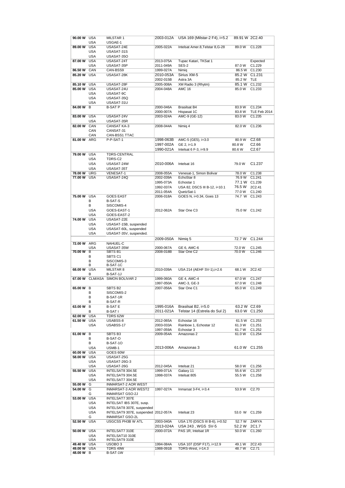|                                                                                                                                                                                                           | 90.00 W USA | MILSTAR 1                           | 2003-012A              | USA 169 (Milstar-2 F4), i=5.2                  | 89.91 W 2C2.40   |                    |
|-----------------------------------------------------------------------------------------------------------------------------------------------------------------------------------------------------------|-------------|-------------------------------------|------------------------|------------------------------------------------|------------------|--------------------|
|                                                                                                                                                                                                           | <b>USA</b>  | USGAE-1                             |                        |                                                |                  |                    |
| 89.00 W USA                                                                                                                                                                                               |             | USASAT-24E                          | 2005-022A              | Intelsat Amer.8, Telstar 8, G-28               | 89.0 W C1.228    |                    |
|                                                                                                                                                                                                           | <b>USA</b>  | USASAT-31S                          |                        |                                                |                  |                    |
|                                                                                                                                                                                                           | <b>USA</b>  | USASAT-35O                          |                        |                                                |                  |                    |
| 87.00 W USA                                                                                                                                                                                               |             | USASAT-24T                          | 2013-075A              | Tupac Katari, TKSat 1                          |                  | Expected           |
|                                                                                                                                                                                                           | <b>USA</b>  | USASAT-35P                          | 2011-049A              | SES-2                                          | 87.0 W           | C1.229             |
| 86.50 W CAN                                                                                                                                                                                               |             | CAN-BSS9                            | 1999-027A              | Nimig                                          | 86.5 W C1.230    |                    |
| 85.20 W USA                                                                                                                                                                                               |             | USASAT-28K                          | 2010-053A              | Sirius XM-5                                    |                  | 85.2 W C1.231      |
|                                                                                                                                                                                                           |             |                                     |                        |                                                |                  |                    |
|                                                                                                                                                                                                           |             |                                     | 2002-015B              | Astra 3A                                       | 85.2 W TLE       |                    |
| 85.10 W USA                                                                                                                                                                                               |             | USASAT-28F                          | 2005-008A              | XM Radio 3 (Rhytm)                             | 85.1 W C1.232    |                    |
| 85.00 W USA                                                                                                                                                                                               |             | USASAT-24U                          | 2004-048A              | <b>AMC 16</b>                                  | 85.0 W           | C1.233             |
|                                                                                                                                                                                                           | <b>USA</b>  | USASAT-9C                           |                        |                                                |                  |                    |
|                                                                                                                                                                                                           | <b>USA</b>  | USASAT-35Q                          |                        |                                                |                  |                    |
|                                                                                                                                                                                                           | <b>USA</b>  | USASAT-31U                          |                        |                                                |                  |                    |
| 84.00 W                                                                                                                                                                                                   | В           | <b>B-SAT P</b>                      | 2000-046A              | <b>Brasilsat B4</b>                            | 83.9 W           | C1.234             |
|                                                                                                                                                                                                           |             |                                     | 2000-007A              | Hispasat 1C                                    | 83.8 W           | TLE Feb 2014       |
| 83.00 W USA                                                                                                                                                                                               |             | USASAT-24V                          | 2003-024A              | AMC-9 (GE-12)                                  | 83.0 W           | C1.235             |
|                                                                                                                                                                                                           | <b>USA</b>  | USASAT-35R                          |                        |                                                |                  |                    |
| 82.00 W CAN                                                                                                                                                                                               |             | CANSAT KA-3                         | 2008-044A              |                                                | 82.0 W           | C1.236             |
|                                                                                                                                                                                                           |             |                                     |                        | Nimig 4                                        |                  |                    |
|                                                                                                                                                                                                           | CAN         | CANSAT-31                           |                        |                                                |                  |                    |
|                                                                                                                                                                                                           | CAN         | CAN-BSS1 TTAC                       |                        |                                                |                  |                    |
| 81.00 W ARG                                                                                                                                                                                               |             | P-P-SAT-1                           | 1998-063B              | AMC-5 (GE5), i=3.0                             | 80.9 W           | C2.68              |
|                                                                                                                                                                                                           |             |                                     | 1997-002A              | GE 2, i=1.9                                    | 80.8 W           | C <sub>2.66</sub>  |
|                                                                                                                                                                                                           |             |                                     | 1990-021A              | Intelsat $6F-3$ , $i=9.9$                      | 80.6 W           | C <sub>2.67</sub>  |
| 79.00 W USA                                                                                                                                                                                               |             | <b>TDRS-CENTRAL</b>                 |                        |                                                |                  |                    |
|                                                                                                                                                                                                           | <b>USA</b>  | TDRS-C2                             |                        |                                                |                  |                    |
|                                                                                                                                                                                                           |             |                                     | 2010-006A              |                                                |                  | C <sub>1.237</sub> |
|                                                                                                                                                                                                           | <b>USA</b>  | USASAT-24W                          |                        | Intelsat 16                                    | 79.0 W           |                    |
|                                                                                                                                                                                                           | <b>USA</b>  | USASAT-35T                          |                        |                                                |                  |                    |
| 78.00 W URG                                                                                                                                                                                               |             | <b>VENESAT-1</b>                    | 2008-055A              | Venesat-1, Simon Bolivar                       | 78.0 W           | C1.238             |
| 77.00 W USA                                                                                                                                                                                               |             | USASAT-24Q                          | 2002-039A              | EchoStar 8                                     | 76.9 W C1.241    |                    |
|                                                                                                                                                                                                           |             |                                     | 1995-073A              | Echostar 1                                     | 77.1 W C1.239    |                    |
|                                                                                                                                                                                                           |             |                                     | 1992-037A              | USA 82, DSCS III B-12, i=10.1                  | 76.5 W 2C2.41    |                    |
|                                                                                                                                                                                                           |             |                                     | 2011-054A              | <b>QuetzSat-1</b>                              | 77.0 W C1.240    |                    |
| 75.00 W USA                                                                                                                                                                                               |             | <b>GOES EAST</b>                    | 2006-018A              | GOES N, i=0.34, Goes 13                        | 74.7 W C1.243    |                    |
|                                                                                                                                                                                                           | в           | B-SAT-S                             |                        |                                                |                  |                    |
|                                                                                                                                                                                                           | В           | SISCOMIS-4                          |                        |                                                |                  |                    |
|                                                                                                                                                                                                           |             |                                     |                        |                                                |                  |                    |
|                                                                                                                                                                                                           | <b>USA</b>  | GOES-EAST-1                         | 2012-062A              | Star One C3                                    | 75.0 W C1.242    |                    |
|                                                                                                                                                                                                           | <b>USA</b>  | GOES-EAST-2                         |                        |                                                |                  |                    |
| 74.00 W                                                                                                                                                                                                   | <b>USA</b>  | USASAT-22E                          |                        |                                                |                  |                    |
|                                                                                                                                                                                                           | <b>USA</b>  | USASAT-15B, suspended               |                        |                                                |                  |                    |
|                                                                                                                                                                                                           | <b>USA</b>  | USASAT-60L, suspended               |                        |                                                |                  |                    |
|                                                                                                                                                                                                           | <b>USA</b>  | USASAT-35V, suspended.              |                        |                                                |                  |                    |
|                                                                                                                                                                                                           |             |                                     | 2009-050A              | Nimig 5                                        | 72.7 W           | C1.244             |
| 72.00 W ARG                                                                                                                                                                                               |             | NAHUEL-C                            |                        |                                                |                  |                    |
|                                                                                                                                                                                                           | <b>USA</b>  | USASAT-35W                          | 2000-067A              | GE 6, AMC-6                                    | 72.0 W           | C1.245             |
|                                                                                                                                                                                                           |             |                                     |                        |                                                |                  |                    |
|                                                                                                                                                                                                           |             |                                     |                        |                                                |                  |                    |
|                                                                                                                                                                                                           |             | SBTS B1                             | 2008-018B              | Star One C2                                    | 70.0 W           | C1.246             |
|                                                                                                                                                                                                           | в           | SBTS C1                             |                        |                                                |                  |                    |
|                                                                                                                                                                                                           | в           | SISCOMIS-3                          |                        |                                                |                  |                    |
|                                                                                                                                                                                                           | в           | B-SAT-1C                            |                        |                                                |                  |                    |
|                                                                                                                                                                                                           |             | MILSTAR 8                           | 2010-039A              | USA 214 (AEHF SV-1), i=2.6                     | 68.1 W           | 2C2.42             |
|                                                                                                                                                                                                           | в           | B-SAT-1J                            |                        |                                                |                  |                    |
|                                                                                                                                                                                                           |             | CLM/ASA .SIMON BOLIVAR 2            | 1999-060A              | GE 4, AMC-4                                    | 67.0W            | C1.247             |
|                                                                                                                                                                                                           |             |                                     | 1997-050A              | AMC-3, GE-3                                    | 67.0 W           | C1.248             |
|                                                                                                                                                                                                           |             | SBTS B2                             | 2007-056A              | Star One C1                                    | 65.0 W           | C1.249             |
|                                                                                                                                                                                                           | в           |                                     |                        |                                                |                  |                    |
|                                                                                                                                                                                                           |             | SISCOMIS-2                          |                        |                                                |                  |                    |
|                                                                                                                                                                                                           | В           | B-SAT-1R                            |                        |                                                |                  |                    |
|                                                                                                                                                                                                           | в           | B-SAT-R                             |                        |                                                |                  |                    |
|                                                                                                                                                                                                           |             | <b>B-SAT E</b>                      | 1995-016A              | Brasilsat B2, i=5.0                            | 63.2 W C2.69     |                    |
|                                                                                                                                                                                                           | в           | B-SAT I                             | 2011-021A              | Telstar 14 (Estrela do Sul 2)                  |                  | 63.0 W C1.250      |
|                                                                                                                                                                                                           |             | TDRS 62W                            |                        |                                                |                  |                    |
|                                                                                                                                                                                                           |             | USABSS-8                            | 2012-065A              | Echostar 16                                    |                  | 61.5 W C1.253      |
|                                                                                                                                                                                                           | <b>USA</b>  | USABSS-17                           | 2003-033A              | Rainbow 1, Echostar 12                         | 61.3 W           | C1.251             |
|                                                                                                                                                                                                           |             |                                     | 1997-059A              | Echostar 3                                     | 61.7 W           | C <sub>1.252</sub> |
|                                                                                                                                                                                                           |             | SBTS B3                             | 2009-054A              | Amazonas 2                                     | 61.0 W           | C <sub>1.254</sub> |
|                                                                                                                                                                                                           | в           | B-SAT-O                             |                        |                                                |                  |                    |
|                                                                                                                                                                                                           | В           | B-SAT-10                            |                        |                                                |                  |                    |
|                                                                                                                                                                                                           | <b>USA</b>  | USMB-1                              |                        |                                                | 61.0 W C1.255    |                    |
|                                                                                                                                                                                                           |             |                                     | 2013-006A              | Amazonas 3                                     |                  |                    |
|                                                                                                                                                                                                           | <b>USA</b>  | GOES 60W                            |                        |                                                |                  |                    |
|                                                                                                                                                                                                           |             | USASAT-25G                          |                        |                                                |                  |                    |
|                                                                                                                                                                                                           | <b>USA</b>  | USASAT-26G-3                        |                        |                                                |                  |                    |
|                                                                                                                                                                                                           | <b>USA</b>  | USASAT-26G                          | 2012-045A              | Intelsat 21                                    | 58.0 W           | C1.256             |
|                                                                                                                                                                                                           |             | INTELSAT8 304.5E                    | 1999-071A              | Galaxy 11                                      | 55.6 W           | C1.257             |
|                                                                                                                                                                                                           | <b>USA</b>  | INTELSAT9 304.5E                    | 1998-037A              | Intelsat 805                                   | 55.5 W           | C1.258             |
|                                                                                                                                                                                                           | <b>USA</b>  | INTELSAT7 304.5E                    |                        |                                                |                  |                    |
|                                                                                                                                                                                                           |             | INMARSAT-2 AOR WEST                 |                        |                                                |                  |                    |
|                                                                                                                                                                                                           |             | INMARSAT-3 AOR WEST2                | 1997-027A              | Inmarsat $3-F4$ , $i=3.4$                      | 53.9 W           | C <sub>2.70</sub>  |
|                                                                                                                                                                                                           | G           | INMARSAT GSO-2J                     |                        |                                                |                  |                    |
|                                                                                                                                                                                                           |             |                                     |                        |                                                |                  |                    |
|                                                                                                                                                                                                           |             | INTELSAT7 307E                      |                        |                                                |                  |                    |
|                                                                                                                                                                                                           | <b>USA</b>  | INTELSAT IBS 307E, susp.            |                        |                                                |                  |                    |
|                                                                                                                                                                                                           | <b>USA</b>  | INTELSAT8 307E, suspended           |                        |                                                |                  |                    |
|                                                                                                                                                                                                           | <b>USA</b>  | INTELSAT9 307E, suspended 2012-057A |                        | Intelsat 23                                    | 53.0 W C1.259    |                    |
|                                                                                                                                                                                                           | G           | INMARSAT GSO-2L                     |                        |                                                |                  |                    |
| 70.00 W B<br>68.00 W USA<br>67.00 W<br>65.00 W B<br>63.00 W B<br>62.00 W USA<br>61.50 W USA<br>61.00 W B<br>60.00 W<br>58.00 W USA<br>55.50 W USA<br>55.00 W G<br>54.00 W G<br>53.00 W USA<br>52.50 W USA |             | USGCSS PH3B W ATL                   | 2003-040A              | USA 170 (DSCS III B-6), i=0.52                 |                  | 52.7 W ZARYA       |
|                                                                                                                                                                                                           |             |                                     | 2013-024A              | USA 243, WGS SV-5                              | 52.2 W           | 2C1.7              |
|                                                                                                                                                                                                           |             |                                     |                        |                                                |                  |                    |
| 50.00 W USA                                                                                                                                                                                               |             | INTELSAT7 310E                      | 2000-072A              | PAS 1R, Intelsat 1R                            | 50.0 W C1.260    |                    |
|                                                                                                                                                                                                           | <b>USA</b>  | INTELSAT10 310E                     |                        |                                                |                  |                    |
|                                                                                                                                                                                                           | <b>USA</b>  | INTELSAT9 310E                      |                        |                                                |                  |                    |
| 49.40 W USA<br>49.00 W USA                                                                                                                                                                                |             | USOBO <sub>3</sub><br>TDRS 49W      | 1994-084A<br>1988-091B | USA 107 (DSP F17), i=12.9<br>TDRS-West, i=14.3 | 49.1 W<br>48.7 W | 2C2.43<br>C2.71    |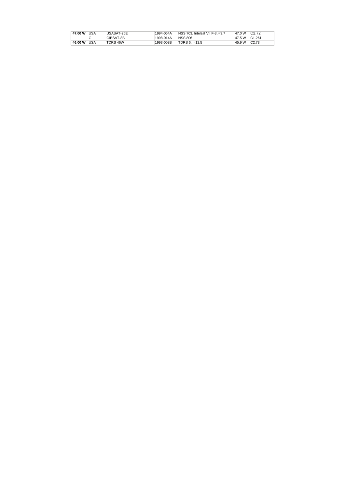| 47.00 W USA |     | USASAT-25E | 1994-064A | NSS 703. Intelsat VII F-3.i=3.7 | 47.0 W C2.72  |  |
|-------------|-----|------------|-----------|---------------------------------|---------------|--|
|             |     | GIBSAT-8B  | 1998-014A | <b>NSS 806</b>                  | 47.5 W C1.261 |  |
| 46.00 W     | USA | TDRS 46W   | 1993-003B | TDRS 6. i=12.5                  | 45.9 W C2.73  |  |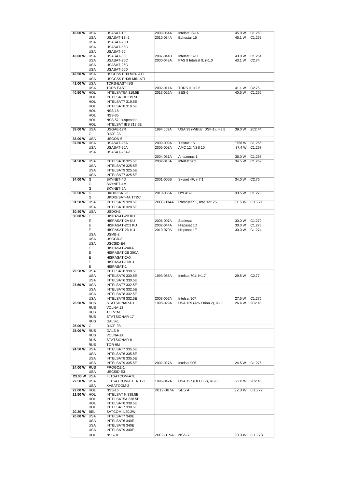| 45.00 W     | <b>USA</b> | USASAT-13I          | 2009-064A | Intelsat IS-14                | 45.0 W | C1.263             |
|-------------|------------|---------------------|-----------|-------------------------------|--------|--------------------|
|             | <b>USA</b> | <b>USASAT-13I-2</b> | 2010-034A | Echostar 15                   | 45.1 W | C <sub>1.262</sub> |
|             | <b>USA</b> | USASAT-25D          |           |                               |        |                    |
|             | <b>USA</b> | USASAT-55G          |           |                               |        |                    |
|             |            |                     |           |                               |        |                    |
|             | <b>USA</b> | USASAT-60I          |           |                               |        |                    |
| 43.00 W     | <b>USA</b> | USASAT-55F          | 2007-044B | Intelsat IS-11                | 43.0 W | C1.264             |
|             | USA        | USASAT-25C          | 2000-043A | PAS 9 Intelsat 9, i=1.0       | 43.1 W | C <sub>2.74</sub>  |
|             | <b>USA</b> | USASAT-26C          |           |                               |        |                    |
|             | <b>USA</b> | USASAT-50D          |           |                               |        |                    |
| 42.50 W     | <b>USA</b> | USGCSS PH3 MID- ATL |           |                               |        |                    |
|             | <b>USA</b> | USGCSS PH3B MID-ATL |           |                               |        |                    |
| 41.00 W     | <b>USA</b> | TDRS-EAST-ISS       |           |                               |        |                    |
|             |            |                     |           |                               |        |                    |
|             | <b>USA</b> | <b>TDRS EAST</b>    | 2002-011A | TDRS 9, i=2.6                 | 41.1 W | C <sub>2.75</sub>  |
| 40.50 W     | HOL        | INTELSAT5A 319.5E   | 2013-026A | SES-6                         | 40.5 W | C1.265             |
|             | HOL        | INTELSAT K 319.5E   |           |                               |        |                    |
|             | HOL        | INTELSAT7 319.5E    |           |                               |        |                    |
|             | HOL        | INTELSAT8 319.5E    |           |                               |        |                    |
|             | HOL        | <b>NSS-18</b>       |           |                               |        |                    |
|             | HOL        | <b>NSS-35</b>       |           |                               |        |                    |
|             | HOL        | NSS-57, suspended   |           |                               |        |                    |
|             | HOL        | INTELSAT IBS 319.5E |           |                               |        |                    |
|             | <b>USA</b> | USGAE-17R           |           |                               |        | 2C2.44             |
| 39.00 W     |            |                     | 1994.009A | USA 99 (Milstar DSF-1), i=9.8 | 39.0 W |                    |
|             | G          | DJCF-2A             |           |                               |        |                    |
| 38.00 W     | <b>USA</b> | USGON-5             |           |                               |        |                    |
| 37.50 W     | <b>USA</b> | USASAT-25A          | 2009-009A | Telstar11N                    | 3756 W | C1.266             |
|             | <b>USA</b> | USASAT-26A          | 2005-003A | AMC 12, NSS 10                | 37.4 W | C1.267             |
|             | <b>USA</b> | USASAT-25A-1        |           |                               |        |                    |
|             |            |                     | 2004-031A | Amazonas 1                    | 36.0 W | C1.268             |
| 34.50 W USA |            | INTELSAT8 325.5E    | 2002-016A | Intelsat 903                  | 34.5 W | C1.269             |
|             | <b>USA</b> | INTELSAT6 325.5E    |           |                               |        |                    |
|             | <b>USA</b> | INTELSAT9 325.5E    |           |                               |        |                    |
|             | <b>USA</b> | INTELSAT7 325.5E    |           |                               |        |                    |
|             |            |                     |           |                               |        |                    |
| 34.00 W     | G          | SKYNET-4D           | 2001-005B | Skynet 4F, i=7.1              | 34.0 W | C2.76              |
|             | G          | SKYNET-4M           |           |                               |        |                    |
|             | G          | SKYNET-5A           |           |                               |        |                    |
| 33.50 W     | G          | UKDIGISAT-3         | 2010-065A | HYLAS-1                       | 33.5 W | C1.270             |
|             | G          | UKDIGISAT-4A TT&C   |           |                               |        |                    |
| 31.50 W     | <b>USA</b> | INTELSAT9 328.5E    | 2008-034A | Protostar 1, Intelsat 25      | 31.5 W | C <sub>1.271</sub> |
|             | <b>USA</b> | INTELSAT8 328.5E    |           |                               |        |                    |
| 30.40 W     | <b>USA</b> | USDKH <sub>2</sub>  |           |                               |        |                    |
| 30.00 W     | Е          | HISPASAT-2B KU      |           |                               |        |                    |
|             | Е          | HISPASAT-2A KU      | 2006-007A |                               | 30.0 W |                    |
|             |            |                     |           | Spainsat                      |        | C1.272             |
|             | Е          | HISPASAT-2C3 KU     | 2002-044A | Hispasat 1D                   | 30.0 W | C1.273             |
|             | Е          | HISPASAT-2D KU      | 2010-070A | Hispasat 1E                   | 30.0 W | C1.274             |
|             | <b>USA</b> | USMB-2              |           |                               |        |                    |
|             |            |                     |           |                               |        |                    |
|             | <b>USA</b> | USGGR-3             |           |                               |        |                    |
|             | <b>USA</b> | USCSID-E4           |           |                               |        |                    |
|             | Е          |                     |           |                               |        |                    |
|             |            | HISPASAT-2AKA       |           |                               |        |                    |
|             | Е          | HISPASAT-2B 30KA    |           |                               |        |                    |
|             | Е          | HISPASAT-2AX        |           |                               |        |                    |
|             | Е          | HISPASAT-1DKU       |           |                               |        |                    |
|             | Е          | HISPASAT-1          |           |                               |        |                    |
| 29.50 W     | <b>USA</b> | INTELSAT8 330.5E    |           |                               |        |                    |
|             | <b>USA</b> | INTELSAT9 330.5E    | 1993-066A | Intelsat 701, i=1.7           | 29.5 W | C <sub>2.77</sub>  |
|             | <b>USA</b> | INTELSAT6 330.5E    |           |                               |        |                    |
| 27.50 W     | <b>USA</b> | INTELSAT7 332.5E    |           |                               |        |                    |
|             | USA        | INTELSAT6 332.5E    |           |                               |        |                    |
|             | <b>USA</b> | INTELSAT8 332.5E    |           |                               |        |                    |
|             | <b>USA</b> | INTELSAT9 332.5E    | 2003-007A | Intelsat 907                  | 27.5 W | C <sub>1.275</sub> |
|             |            |                     |           |                               |        |                    |
| 26.50 W     | <b>RUS</b> | STATSIONAR-D1       | 1998-029A | USA 139 (Adv.Orion 2), i=9.0  | 26.4 W | 2C2.45             |
|             | <b>RUS</b> | VOLNA-13            |           |                               |        |                    |
|             | <b>RUS</b> | TOR-1M              |           |                               |        |                    |
|             | <b>RUS</b> | STATSIONAR-17       |           |                               |        |                    |
|             | <b>RUS</b> | GALS-1              |           |                               |        |                    |
| 26.00 W     | G          | DJCF-2B             |           |                               |        |                    |
| 25.00 W     | <b>RUS</b> | GALS-9              |           |                               |        |                    |
|             | <b>RUS</b> | VOLNA-1A            |           |                               |        |                    |
|             | <b>RUS</b> | STATSIONAR-8        |           |                               |        |                    |
|             | <b>RUS</b> | TOR-9M              |           |                               |        |                    |
|             |            |                     |           |                               |        |                    |
| 24.50 W     | <b>USA</b> | INTELSAT7 335.5E    |           |                               |        |                    |
|             | <b>USA</b> | INTELSAT6 335.5E    |           |                               |        |                    |
|             | <b>USA</b> | INTELSAT8 335.5E    |           |                               |        |                    |
|             | <b>USA</b> | INTELSAT9 335.5E    | 2002-027A | Intelsat 905                  | 24.5 W | C <sub>1.276</sub> |
| 24.00 W     | <b>RUS</b> | PROGOZ-1            |           |                               |        |                    |
|             | USA        | USCSID-E3           |           |                               |        |                    |
| 23.00 W USA |            | FLTSATCOM-ATL       |           |                               |        |                    |
| 22.50 W     | <b>USA</b> | FLTSATCOM-C E ATL-1 | 1996-042A | USA 127 (UFO F7), i=6.8       | 22.8 W | 2C2.46             |
|             | <b>USA</b> | KASATCOM-2          |           |                               |        |                    |
|             | <b>HOL</b> | <b>NSS-16</b>       | 2012-007A | SES <sub>4</sub>              | 22.0 W | C <sub>1.277</sub> |
| 22.00 W     |            |                     |           |                               |        |                    |
| 21.50 W     | <b>HOL</b> | INTELSAT K 338.5E   |           |                               |        |                    |
|             | HOL        | INTELSAT5A 338.5E   |           |                               |        |                    |
|             | HOL        | INTELSAT8 338.5E    |           |                               |        |                    |
|             | HOL        | INTELSAT7 338.5E    |           |                               |        |                    |
| 20.20 W     | BEL        | SATCOM-4/20.2W      |           |                               |        |                    |
| 20.00 W     | <b>USA</b> | INTELSAT7 340E      |           |                               |        |                    |
|             | <b>USA</b> | INTELSAT6 340E      |           |                               |        |                    |
|             | <b>USA</b> | INTELSAT8 340E      |           |                               |        |                    |
|             | USA        | INTELSAT9 340E      |           |                               |        |                    |
|             | HOL        | <b>NSS-31</b>       | 2002-019A | NSS-7                         |        | 20.0 W C1.278      |